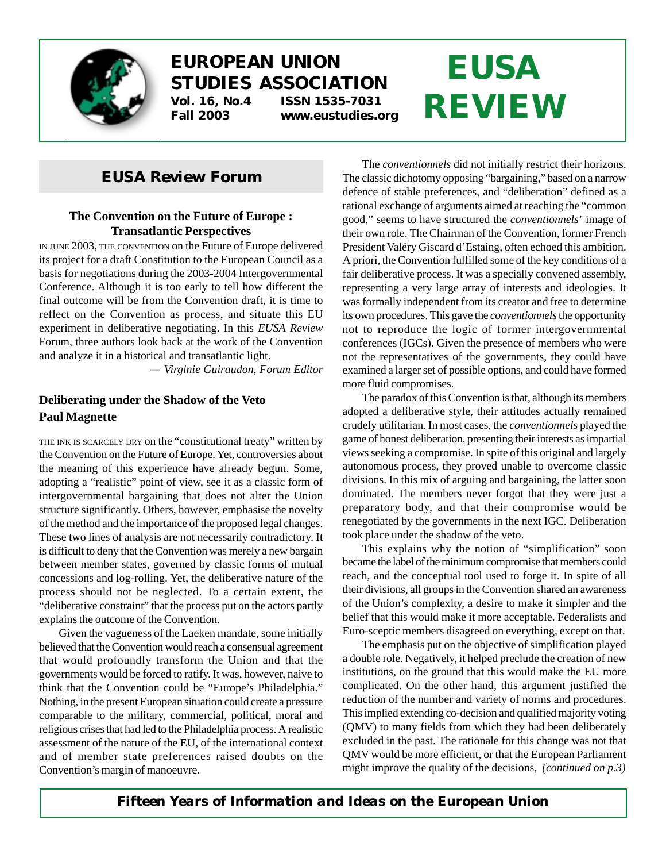

# **EUROPEAN UNION STUDIES ASSOCIATION Vol. 16, No.4 ISSN 1535-7031 Fall 2003 www.eustudies.org**

# **EUSA REVIEW**

# *EUSA Review* **Forum**

#### **The Convention on the Future of Europe : Transatlantic Perspectives**

IN JUNE 2003, THE CONVENTION on the Future of Europe delivered its project for a draft Constitution to the European Council as a basis for negotiations during the 2003-2004 Intergovernmental Conference. Although it is too early to tell how different the final outcome will be from the Convention draft, it is time to reflect on the Convention as process, and situate this EU experiment in deliberative negotiating. In this *EUSA Review* Forum, three authors look back at the work of the Convention and analyze it in a historical and transatlantic light.

*— Virginie Guiraudon, Forum Editor*

### **Deliberating under the Shadow of the Veto Paul Magnette**

THE INK IS SCARCELY DRY on the "constitutional treaty" written by the Convention on the Future of Europe. Yet, controversies about the meaning of this experience have already begun. Some, adopting a "realistic" point of view, see it as a classic form of intergovernmental bargaining that does not alter the Union structure significantly. Others, however, emphasise the novelty of the method and the importance of the proposed legal changes. These two lines of analysis are not necessarily contradictory. It is difficult to deny that the Convention was merely a new bargain between member states, governed by classic forms of mutual concessions and log-rolling. Yet, the deliberative nature of the process should not be neglected. To a certain extent, the "deliberative constraint" that the process put on the actors partly explains the outcome of the Convention.

Given the vagueness of the Laeken mandate, some initially believed that the Convention would reach a consensual agreement that would profoundly transform the Union and that the governments would be forced to ratify. It was, however, naive to think that the Convention could be "Europe's Philadelphia." Nothing, in the present European situation could create a pressure comparable to the military, commercial, political, moral and religious crises that had led to the Philadelphia process. A realistic assessment of the nature of the EU, of the international context and of member state preferences raised doubts on the Convention's margin of manoeuvre.

The *conventionnels* did not initially restrict their horizons. The classic dichotomy opposing "bargaining," based on a narrow defence of stable preferences, and "deliberation" defined as a rational exchange of arguments aimed at reaching the "common good," seems to have structured the *conventionnels*' image of their own role. The Chairman of the Convention, former French President Valéry Giscard d'Estaing, often echoed this ambition. A priori, the Convention fulfilled some of the key conditions of a fair deliberative process. It was a specially convened assembly, representing a very large array of interests and ideologies. It was formally independent from its creator and free to determine its own procedures. This gave the *conventionnels* the opportunity not to reproduce the logic of former intergovernmental conferences (IGCs). Given the presence of members who were not the representatives of the governments, they could have examined a larger set of possible options, and could have formed more fluid compromises.

The paradox of this Convention is that, although its members adopted a deliberative style, their attitudes actually remained crudely utilitarian. In most cases, the *conventionnels* played the game of honest deliberation, presenting their interests as impartial views seeking a compromise. In spite of this original and largely autonomous process, they proved unable to overcome classic divisions. In this mix of arguing and bargaining, the latter soon dominated. The members never forgot that they were just a preparatory body, and that their compromise would be renegotiated by the governments in the next IGC. Deliberation took place under the shadow of the veto.

This explains why the notion of "simplification" soon became the label of the minimum compromise that members could reach, and the conceptual tool used to forge it. In spite of all their divisions, all groups in the Convention shared an awareness of the Union's complexity, a desire to make it simpler and the belief that this would make it more acceptable. Federalists and Euro-sceptic members disagreed on everything, except on that.

The emphasis put on the objective of simplification played a double role. Negatively, it helped preclude the creation of new institutions, on the ground that this would make the EU more complicated. On the other hand, this argument justified the reduction of the number and variety of norms and procedures. This implied extending co-decision and qualified majority voting (QMV) to many fields from which they had been deliberately excluded in the past. The rationale for this change was not that QMV would be more efficient, or that the European Parliament might improve the quality of the decisions, *(continued on p.3)*

### *Fifteen Years of Information and Ideas on the European Union*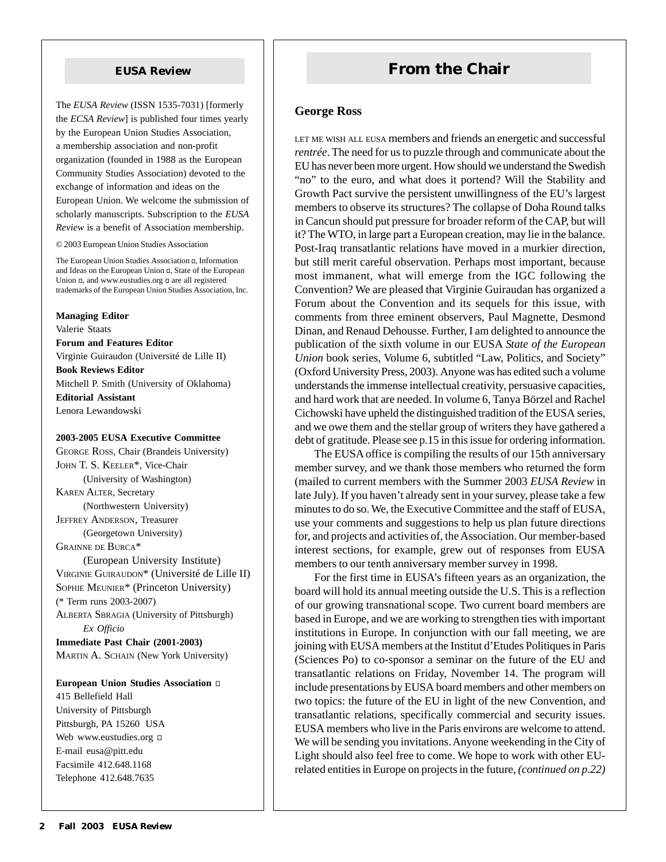The *EUSA Review* (ISSN 1535-7031) [formerly the *ECSA Review*] is published four times yearly by the European Union Studies Association, a membership association and non-profit organization (founded in 1988 as the European Community Studies Association) devoted to the exchange of information and ideas on the European Union. We welcome the submission of scholarly manuscripts. Subscription to the *EUSA Review* is a benefit of Association membership.

© 2003 European Union Studies Association

The European Union Studies Association , Information and Ideas on the European Union , State of the European Union , and www.eustudies.org are all registered trademarks of the European Union Studies Association, Inc.

**Managing Editor** Valerie Staats **Forum and Features Editor** Virginie Guiraudon (Université de Lille II) **Book Reviews Editor** Mitchell P. Smith (University of Oklahoma) **Editorial Assistant** Lenora Lewandowski

#### **2003-2005 EUSA Executive Committee**

GEORGE ROSS, Chair (Brandeis University) JOHN T. S. KEELER\*, Vice-Chair (University of Washington) KAREN ALTER, Secretary (Northwestern University) JEFFREY ANDERSON, Treasurer (Georgetown University) GRAINNE DE BURCA\* (European University Institute) VIRGINIE GUIRAUDON\* (Université de Lille II) SOPHIE MEUNIER\* (Princeton University) (\* Term runs 2003-2007)

ALBERTA SBRAGIA (University of Pittsburgh) *Ex Officio*

**Immediate Past Chair (2001-2003)** MARTIN A. SCHAIN (New York University)

#### **European Union Studies Association**

415 Bellefield Hall University of Pittsburgh Pittsburgh, PA 15260 USA Web www.eustudies.org E-mail eusa@pitt.edu Facsimile 412.648.1168 Telephone 412.648.7635

# **EUSA Review From the Chair**

#### **George Ross**

LET ME WISH ALL EUSA members and friends an energetic and successful *rentrée*. The need for us to puzzle through and communicate about the EU has never been more urgent. How should we understand the Swedish "no" to the euro, and what does it portend? Will the Stability and Growth Pact survive the persistent unwillingness of the EU's largest members to observe its structures? The collapse of Doha Round talks in Cancun should put pressure for broader reform of the CAP, but will it? The WTO, in large part a European creation, may lie in the balance. Post-Iraq transatlantic relations have moved in a murkier direction, but still merit careful observation. Perhaps most important, because most immanent, what will emerge from the IGC following the Convention? We are pleased that Virginie Guiraudan has organized a Forum about the Convention and its sequels for this issue, with comments from three eminent observers, Paul Magnette, Desmond Dinan, and Renaud Dehousse. Further, I am delighted to announce the publication of the sixth volume in our EUSA *State of the European Union* book series, Volume 6, subtitled "Law, Politics, and Society" (Oxford University Press, 2003). Anyone was has edited such a volume understands the immense intellectual creativity, persuasive capacities, and hard work that are needed. In volume 6, Tanya Börzel and Rachel Cichowski have upheld the distinguished tradition of the EUSA series, and we owe them and the stellar group of writers they have gathered a debt of gratitude. Please see p.15 in this issue for ordering information.

The EUSA office is compiling the results of our 15th anniversary member survey, and we thank those members who returned the form (mailed to current members with the Summer 2003 *EUSA Review* in late July). If you haven't already sent in your survey, please take a few minutes to do so. We, the Executive Committee and the staff of EUSA, use your comments and suggestions to help us plan future directions for, and projects and activities of, the Association. Our member-based interest sections, for example, grew out of responses from EUSA members to our tenth anniversary member survey in 1998.

For the first time in EUSA's fifteen years as an organization, the board will hold its annual meeting outside the U.S. This is a reflection of our growing transnational scope. Two current board members are based in Europe, and we are working to strengthen ties with important institutions in Europe. In conjunction with our fall meeting, we are joining with EUSA members at the Institut d'Etudes Politiques in Paris (Sciences Po) to co-sponsor a seminar on the future of the EU and transatlantic relations on Friday, November 14. The program will include presentations by EUSA board members and other members on two topics: the future of the EU in light of the new Convention, and transatlantic relations, specifically commercial and security issues. EUSA members who live in the Paris environs are welcome to attend. We will be sending you invitations. Anyone weekending in the City of Light should also feel free to come. We hope to work with other EUrelated entities in Europe on projects in the future, *(continued on p.22)*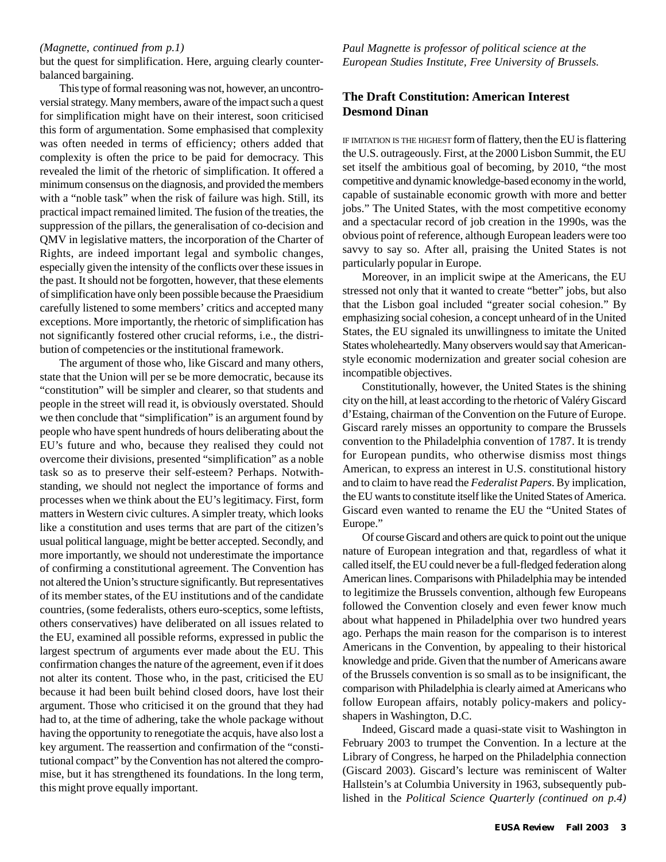#### *(Magnette, continued from p.1)*

but the quest for simplification. Here, arguing clearly counterbalanced bargaining.

This type of formal reasoning was not, however, an uncontroversial strategy. Many members, aware of the impact such a quest for simplification might have on their interest, soon criticised this form of argumentation. Some emphasised that complexity was often needed in terms of efficiency; others added that complexity is often the price to be paid for democracy. This revealed the limit of the rhetoric of simplification. It offered a minimum consensus on the diagnosis, and provided the members with a "noble task" when the risk of failure was high. Still, its practical impact remained limited. The fusion of the treaties, the suppression of the pillars, the generalisation of co-decision and QMV in legislative matters, the incorporation of the Charter of Rights, are indeed important legal and symbolic changes, especially given the intensity of the conflicts over these issues in the past. It should not be forgotten, however, that these elements of simplification have only been possible because the Praesidium carefully listened to some members' critics and accepted many exceptions. More importantly, the rhetoric of simplification has not significantly fostered other crucial reforms, i.e., the distribution of competencies or the institutional framework.

The argument of those who, like Giscard and many others, state that the Union will per se be more democratic, because its "constitution" will be simpler and clearer, so that students and people in the street will read it, is obviously overstated. Should we then conclude that "simplification" is an argument found by people who have spent hundreds of hours deliberating about the EU's future and who, because they realised they could not overcome their divisions, presented "simplification" as a noble task so as to preserve their self-esteem? Perhaps. Notwithstanding, we should not neglect the importance of forms and processes when we think about the EU's legitimacy. First, form matters in Western civic cultures. A simpler treaty, which looks like a constitution and uses terms that are part of the citizen's usual political language, might be better accepted. Secondly, and more importantly, we should not underestimate the importance of confirming a constitutional agreement. The Convention has not altered the Union's structure significantly. But representatives of its member states, of the EU institutions and of the candidate countries, (some federalists, others euro-sceptics, some leftists, others conservatives) have deliberated on all issues related to the EU, examined all possible reforms, expressed in public the largest spectrum of arguments ever made about the EU. This confirmation changes the nature of the agreement, even if it does not alter its content. Those who, in the past, criticised the EU because it had been built behind closed doors, have lost their argument. Those who criticised it on the ground that they had had to, at the time of adhering, take the whole package without having the opportunity to renegotiate the acquis, have also lost a key argument. The reassertion and confirmation of the "constitutional compact" by the Convention has not altered the compromise, but it has strengthened its foundations. In the long term, this might prove equally important.

*Paul Magnette is professor of political science at the European Studies Institute, Free University of Brussels.*

#### **The Draft Constitution: American Interest Desmond Dinan**

IF IMITATION IS THE HIGHEST form of flattery, then the EU is flattering the U.S. outrageously. First, at the 2000 Lisbon Summit, the EU set itself the ambitious goal of becoming, by 2010, "the most competitive and dynamic knowledge-based economy in the world, capable of sustainable economic growth with more and better jobs." The United States, with the most competitive economy and a spectacular record of job creation in the 1990s, was the obvious point of reference, although European leaders were too savvy to say so. After all, praising the United States is not particularly popular in Europe.

Moreover, in an implicit swipe at the Americans, the EU stressed not only that it wanted to create "better" jobs, but also that the Lisbon goal included "greater social cohesion." By emphasizing social cohesion, a concept unheard of in the United States, the EU signaled its unwillingness to imitate the United States wholeheartedly. Many observers would say that Americanstyle economic modernization and greater social cohesion are incompatible objectives.

Constitutionally, however, the United States is the shining city on the hill, at least according to the rhetoric of Valéry Giscard d'Estaing, chairman of the Convention on the Future of Europe. Giscard rarely misses an opportunity to compare the Brussels convention to the Philadelphia convention of 1787. It is trendy for European pundits, who otherwise dismiss most things American, to express an interest in U.S. constitutional history and to claim to have read the *Federalist Papers*. By implication, the EU wants to constitute itself like the United States of America. Giscard even wanted to rename the EU the "United States of Europe."

Of course Giscard and others are quick to point out the unique nature of European integration and that, regardless of what it called itself, the EU could never be a full-fledged federation along American lines. Comparisons with Philadelphia may be intended to legitimize the Brussels convention, although few Europeans followed the Convention closely and even fewer know much about what happened in Philadelphia over two hundred years ago. Perhaps the main reason for the comparison is to interest Americans in the Convention, by appealing to their historical knowledge and pride. Given that the number of Americans aware of the Brussels convention is so small as to be insignificant, the comparison with Philadelphia is clearly aimed at Americans who follow European affairs, notably policy-makers and policyshapers in Washington, D.C.

Indeed, Giscard made a quasi-state visit to Washington in February 2003 to trumpet the Convention. In a lecture at the Library of Congress, he harped on the Philadelphia connection (Giscard 2003). Giscard's lecture was reminiscent of Walter Hallstein's at Columbia University in 1963, subsequently published in the *Political Science Quarterly (continued on p.4)*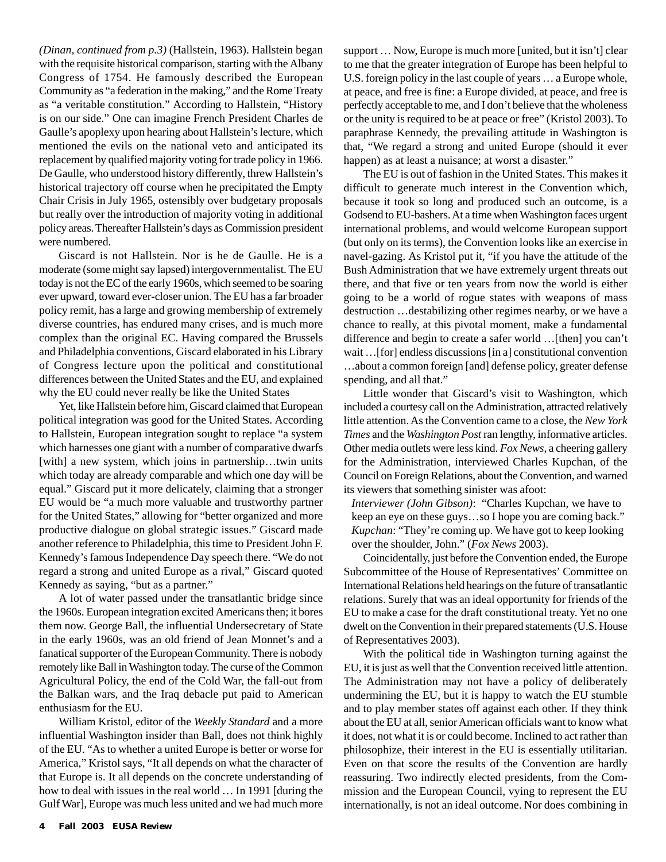*(Dinan, continued from p.3)* (Hallstein, 1963). Hallstein began with the requisite historical comparison, starting with the Albany Congress of 1754. He famously described the European Community as "a federation in the making," and the Rome Treaty as "a veritable constitution." According to Hallstein, "History is on our side." One can imagine French President Charles de Gaulle's apoplexy upon hearing about Hallstein's lecture, which mentioned the evils on the national veto and anticipated its replacement by qualified majority voting for trade policy in 1966. De Gaulle, who understood history differently, threw Hallstein's historical trajectory off course when he precipitated the Empty Chair Crisis in July 1965, ostensibly over budgetary proposals but really over the introduction of majority voting in additional policy areas. Thereafter Hallstein's days as Commission president were numbered.

Giscard is not Hallstein. Nor is he de Gaulle. He is a moderate (some might say lapsed) intergovernmentalist. The EU today is not the EC of the early 1960s, which seemed to be soaring ever upward, toward ever-closer union. The EU has a far broader policy remit, has a large and growing membership of extremely diverse countries, has endured many crises, and is much more complex than the original EC. Having compared the Brussels and Philadelphia conventions, Giscard elaborated in his Library of Congress lecture upon the political and constitutional differences between the United States and the EU, and explained why the EU could never really be like the United States

Yet, like Hallstein before him, Giscard claimed that European political integration was good for the United States. According to Hallstein, European integration sought to replace "a system which harnesses one giant with a number of comparative dwarfs [with] a new system, which joins in partnership...twin units which today are already comparable and which one day will be equal." Giscard put it more delicately, claiming that a stronger EU would be "a much more valuable and trustworthy partner for the United States," allowing for "better organized and more productive dialogue on global strategic issues." Giscard made another reference to Philadelphia, this time to President John F. Kennedy's famous Independence Day speech there. "We do not regard a strong and united Europe as a rival," Giscard quoted Kennedy as saying, "but as a partner."

A lot of water passed under the transatlantic bridge since the 1960s. European integration excited Americans then; it bores them now. George Ball, the influential Undersecretary of State in the early 1960s, was an old friend of Jean Monnet's and a fanatical supporter of the European Community. There is nobody remotely like Ball in Washington today. The curse of the Common Agricultural Policy, the end of the Cold War, the fall-out from the Balkan wars, and the Iraq debacle put paid to American enthusiasm for the EU.

William Kristol, editor of the *Weekly Standard* and a more influential Washington insider than Ball, does not think highly of the EU. "As to whether a united Europe is better or worse for America," Kristol says, "It all depends on what the character of that Europe is. It all depends on the concrete understanding of how to deal with issues in the real world … In 1991 [during the Gulf War], Europe was much less united and we had much more

support … Now, Europe is much more [united, but it isn't] clear to me that the greater integration of Europe has been helpful to U.S. foreign policy in the last couple of years … a Europe whole, at peace, and free is fine: a Europe divided, at peace, and free is perfectly acceptable to me, and I don't believe that the wholeness or the unity is required to be at peace or free" (Kristol 2003). To paraphrase Kennedy, the prevailing attitude in Washington is that, "We regard a strong and united Europe (should it ever happen) as at least a nuisance; at worst a disaster."

The EU is out of fashion in the United States. This makes it difficult to generate much interest in the Convention which, because it took so long and produced such an outcome, is a Godsend to EU-bashers. At a time when Washington faces urgent international problems, and would welcome European support (but only on its terms), the Convention looks like an exercise in navel-gazing. As Kristol put it, "if you have the attitude of the Bush Administration that we have extremely urgent threats out there, and that five or ten years from now the world is either going to be a world of rogue states with weapons of mass destruction …destabilizing other regimes nearby, or we have a chance to really, at this pivotal moment, make a fundamental difference and begin to create a safer world …[then] you can't wait …[for] endless discussions [in a] constitutional convention …about a common foreign [and] defense policy, greater defense spending, and all that."

Little wonder that Giscard's visit to Washington, which included a courtesy call on the Administration, attracted relatively little attention. As the Convention came to a close, the *New York Times* and the *Washington Post* ran lengthy, informative articles. Other media outlets were less kind. *Fox News*, a cheering gallery for the Administration, interviewed Charles Kupchan, of the Council on Foreign Relations, about the Convention, and warned its viewers that something sinister was afoot:

*Interviewer (John Gibson)*: "Charles Kupchan, we have to keep an eye on these guys…so I hope you are coming back." *Kupchan*: "They're coming up. We have got to keep looking over the shoulder, John." (*Fox News* 2003).

Coincidentally, just before the Convention ended, the Europe Subcommittee of the House of Representatives' Committee on International Relations held hearings on the future of transatlantic relations. Surely that was an ideal opportunity for friends of the EU to make a case for the draft constitutional treaty. Yet no one dwelt on the Convention in their prepared statements (U.S. House of Representatives 2003).

With the political tide in Washington turning against the EU, it is just as well that the Convention received little attention. The Administration may not have a policy of deliberately undermining the EU, but it is happy to watch the EU stumble and to play member states off against each other. If they think about the EU at all, senior American officials want to know what it does, not what it is or could become. Inclined to act rather than philosophize, their interest in the EU is essentially utilitarian. Even on that score the results of the Convention are hardly reassuring. Two indirectly elected presidents, from the Commission and the European Council, vying to represent the EU internationally, is not an ideal outcome. Nor does combining in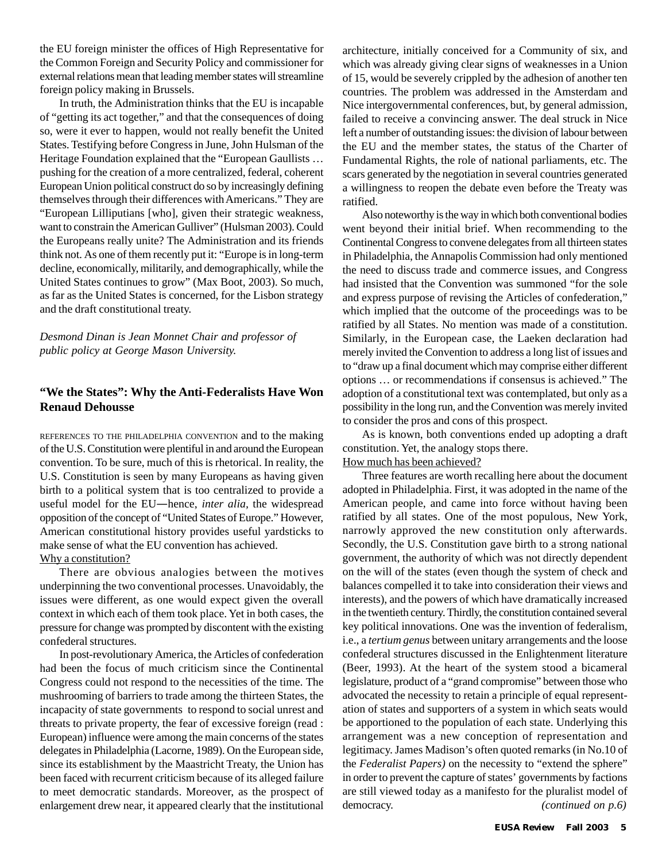the EU foreign minister the offices of High Representative for the Common Foreign and Security Policy and commissioner for external relations mean that leading member states will streamline foreign policy making in Brussels.

In truth, the Administration thinks that the EU is incapable of "getting its act together," and that the consequences of doing so, were it ever to happen, would not really benefit the United States. Testifying before Congress in June, John Hulsman of the Heritage Foundation explained that the "European Gaullists … pushing for the creation of a more centralized, federal, coherent European Union political construct do so by increasingly defining themselves through their differences with Americans." They are "European Lilliputians [who], given their strategic weakness, want to constrain the American Gulliver" (Hulsman 2003). Could the Europeans really unite? The Administration and its friends think not. As one of them recently put it: "Europe is in long-term decline, economically, militarily, and demographically, while the United States continues to grow" (Max Boot, 2003). So much, as far as the United States is concerned, for the Lisbon strategy and the draft constitutional treaty.

*Desmond Dinan is Jean Monnet Chair and professor of public policy at George Mason University.*

#### **"We the States": Why the Anti-Federalists Have Won Renaud Dehousse**

REFERENCES TO THE PHILADELPHIA CONVENTION and to the making of the U.S. Constitution were plentiful in and around the European convention. To be sure, much of this is rhetorical. In reality, the U.S. Constitution is seen by many Europeans as having given birth to a political system that is too centralized to provide a useful model for the EU*—*hence, *inter alia,* the widespread opposition of the concept of "United States of Europe." However, American constitutional history provides useful yardsticks to make sense of what the EU convention has achieved. Why a constitution?

There are obvious analogies between the motives underpinning the two conventional processes. Unavoidably, the issues were different, as one would expect given the overall context in which each of them took place. Yet in both cases, the pressure for change was prompted by discontent with the existing confederal structures.

In post-revolutionary America, the Articles of confederation had been the focus of much criticism since the Continental Congress could not respond to the necessities of the time. The mushrooming of barriers to trade among the thirteen States, the incapacity of state governments to respond to social unrest and threats to private property, the fear of excessive foreign (read : European) influence were among the main concerns of the states delegates in Philadelphia (Lacorne, 1989). On the European side, since its establishment by the Maastricht Treaty, the Union has been faced with recurrent criticism because of its alleged failure to meet democratic standards. Moreover, as the prospect of enlargement drew near, it appeared clearly that the institutional

architecture, initially conceived for a Community of six, and which was already giving clear signs of weaknesses in a Union of 15, would be severely crippled by the adhesion of another ten countries. The problem was addressed in the Amsterdam and Nice intergovernmental conferences, but, by general admission, failed to receive a convincing answer. The deal struck in Nice left a number of outstanding issues: the division of labour between the EU and the member states, the status of the Charter of Fundamental Rights, the role of national parliaments, etc. The scars generated by the negotiation in several countries generated a willingness to reopen the debate even before the Treaty was ratified.

Also noteworthy is the way in which both conventional bodies went beyond their initial brief. When recommending to the Continental Congress to convene delegates from all thirteen states in Philadelphia, the Annapolis Commission had only mentioned the need to discuss trade and commerce issues, and Congress had insisted that the Convention was summoned "for the sole and express purpose of revising the Articles of confederation," which implied that the outcome of the proceedings was to be ratified by all States. No mention was made of a constitution. Similarly, in the European case, the Laeken declaration had merely invited the Convention to address a long list of issues and to "draw up a final document which may comprise either different options … or recommendations if consensus is achieved." The adoption of a constitutional text was contemplated, but only as a possibility in the long run, and the Convention was merely invited to consider the pros and cons of this prospect.

As is known, both conventions ended up adopting a draft constitution. Yet, the analogy stops there.

How much has been achieved?

Three features are worth recalling here about the document adopted in Philadelphia. First, it was adopted in the name of the American people, and came into force without having been ratified by all states. One of the most populous, New York, narrowly approved the new constitution only afterwards. Secondly, the U.S. Constitution gave birth to a strong national government, the authority of which was not directly dependent on the will of the states (even though the system of check and balances compelled it to take into consideration their views and interests), and the powers of which have dramatically increased in the twentieth century. Thirdly, the constitution contained several key political innovations. One was the invention of federalism, i.e., a *tertium genus* between unitary arrangements and the loose confederal structures discussed in the Enlightenment literature (Beer, 1993). At the heart of the system stood a bicameral legislature, product of a "grand compromise" between those who advocated the necessity to retain a principle of equal representation of states and supporters of a system in which seats would be apportioned to the population of each state. Underlying this arrangement was a new conception of representation and legitimacy. James Madison's often quoted remarks (in No.10 of the *Federalist Papers)* on the necessity to "extend the sphere" in order to prevent the capture of states' governments by factions are still viewed today as a manifesto for the pluralist model of democracy. *(continued on p.6)*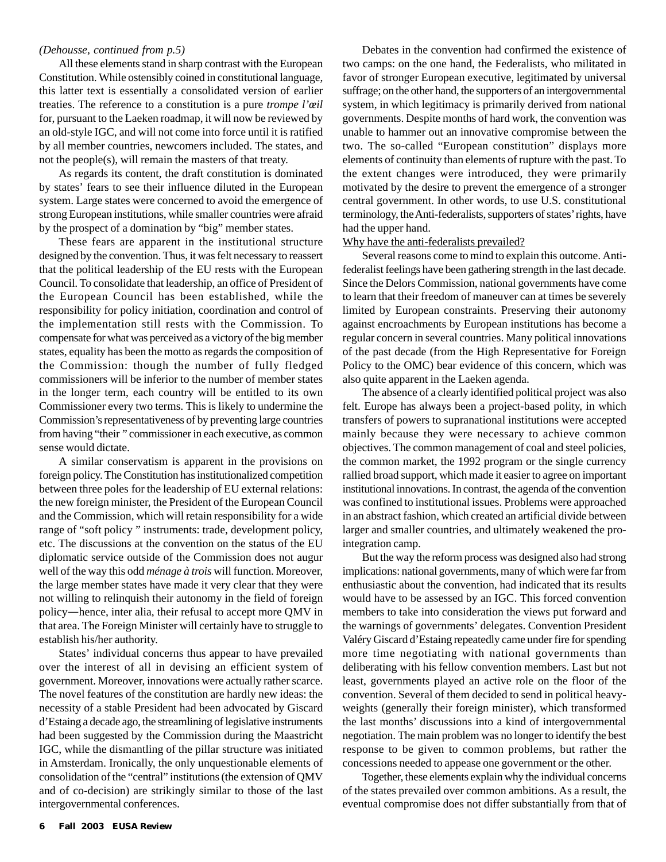#### *(Dehousse, continued from p.5)*

All these elements stand in sharp contrast with the European Constitution. While ostensibly coined in constitutional language, this latter text is essentially a consolidated version of earlier treaties. The reference to a constitution is a pure *trompe l'œil* for, pursuant to the Laeken roadmap, it will now be reviewed by an old-style IGC, and will not come into force until it is ratified by all member countries, newcomers included. The states, and not the people(s), will remain the masters of that treaty.

As regards its content, the draft constitution is dominated by states' fears to see their influence diluted in the European system. Large states were concerned to avoid the emergence of strong European institutions, while smaller countries were afraid by the prospect of a domination by "big" member states.

These fears are apparent in the institutional structure designed by the convention. Thus, it was felt necessary to reassert that the political leadership of the EU rests with the European Council. To consolidate that leadership, an office of President of the European Council has been established, while the responsibility for policy initiation, coordination and control of the implementation still rests with the Commission. To compensate for what was perceived as a victory of the big member states, equality has been the motto as regards the composition of the Commission: though the number of fully fledged commissioners will be inferior to the number of member states in the longer term, each country will be entitled to its own Commissioner every two terms. This is likely to undermine the Commission's representativeness of by preventing large countries from having "their " commissioner in each executive, as common sense would dictate.

A similar conservatism is apparent in the provisions on foreign policy. The Constitution has institutionalized competition between three poles for the leadership of EU external relations: the new foreign minister, the President of the European Council and the Commission, which will retain responsibility for a wide range of "soft policy " instruments: trade, development policy, etc. The discussions at the convention on the status of the EU diplomatic service outside of the Commission does not augur well of the way this odd *ménage à trois* will function. Moreover, the large member states have made it very clear that they were not willing to relinquish their autonomy in the field of foreign policy*—*hence, inter alia, their refusal to accept more QMV in that area. The Foreign Minister will certainly have to struggle to establish his/her authority.

States' individual concerns thus appear to have prevailed over the interest of all in devising an efficient system of government. Moreover, innovations were actually rather scarce. The novel features of the constitution are hardly new ideas: the necessity of a stable President had been advocated by Giscard d'Estaing a decade ago, the streamlining of legislative instruments had been suggested by the Commission during the Maastricht IGC, while the dismantling of the pillar structure was initiated in Amsterdam. Ironically, the only unquestionable elements of consolidation of the "central" institutions (the extension of QMV and of co-decision) are strikingly similar to those of the last intergovernmental conferences.

Debates in the convention had confirmed the existence of two camps: on the one hand, the Federalists, who militated in favor of stronger European executive, legitimated by universal suffrage; on the other hand, the supporters of an intergovernmental system, in which legitimacy is primarily derived from national governments. Despite months of hard work, the convention was unable to hammer out an innovative compromise between the two. The so-called "European constitution" displays more elements of continuity than elements of rupture with the past. To the extent changes were introduced, they were primarily motivated by the desire to prevent the emergence of a stronger central government. In other words, to use U.S. constitutional terminology, the Anti-federalists, supporters of states' rights, have had the upper hand.

#### Why have the anti-federalists prevailed?

Several reasons come to mind to explain this outcome. Antifederalist feelings have been gathering strength in the last decade. Since the Delors Commission, national governments have come to learn that their freedom of maneuver can at times be severely limited by European constraints. Preserving their autonomy against encroachments by European institutions has become a regular concern in several countries. Many political innovations of the past decade (from the High Representative for Foreign Policy to the OMC) bear evidence of this concern, which was also quite apparent in the Laeken agenda.

The absence of a clearly identified political project was also felt. Europe has always been a project-based polity, in which transfers of powers to supranational institutions were accepted mainly because they were necessary to achieve common objectives. The common management of coal and steel policies, the common market, the 1992 program or the single currency rallied broad support, which made it easier to agree on important institutional innovations. In contrast, the agenda of the convention was confined to institutional issues. Problems were approached in an abstract fashion, which created an artificial divide between larger and smaller countries, and ultimately weakened the prointegration camp.

But the way the reform process was designed also had strong implications: national governments, many of which were far from enthusiastic about the convention, had indicated that its results would have to be assessed by an IGC. This forced convention members to take into consideration the views put forward and the warnings of governments' delegates. Convention President Valéry Giscard d'Estaing repeatedly came under fire for spending more time negotiating with national governments than deliberating with his fellow convention members. Last but not least, governments played an active role on the floor of the convention. Several of them decided to send in political heavyweights (generally their foreign minister), which transformed the last months' discussions into a kind of intergovernmental negotiation. The main problem was no longer to identify the best response to be given to common problems, but rather the concessions needed to appease one government or the other.

Together, these elements explain why the individual concerns of the states prevailed over common ambitions. As a result, the eventual compromise does not differ substantially from that of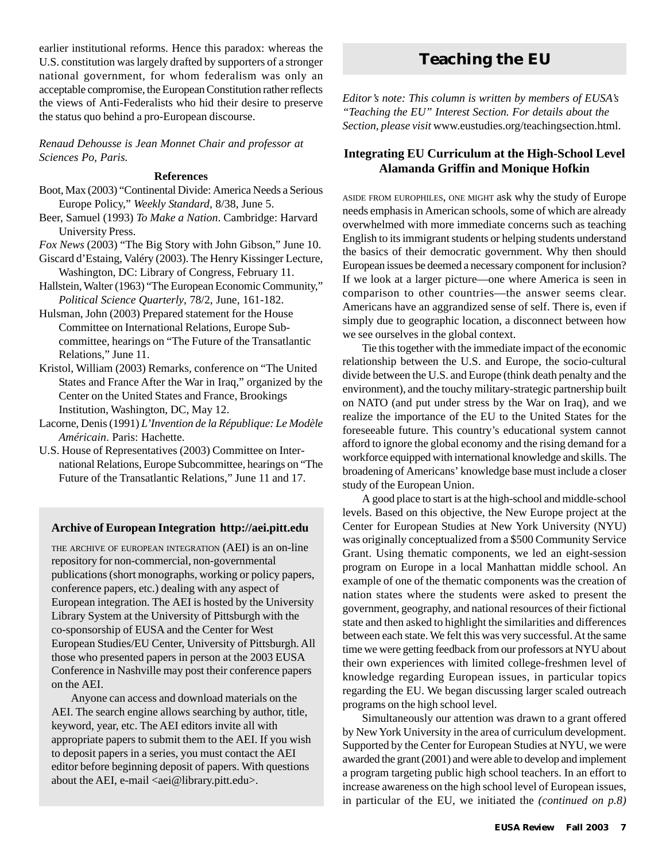earlier institutional reforms. Hence this paradox: whereas the U.S. constitution was largely drafted by supporters of a stronger national government, for whom federalism was only an acceptable compromise, the European Constitution rather reflects the views of Anti-Federalists who hid their desire to preserve the status quo behind a pro-European discourse.

*Renaud Dehousse is Jean Monnet Chair and professor at Sciences Po, Paris.*

#### **References**

- Boot, Max (2003) "Continental Divide: America Needs a Serious Europe Policy," *Weekly Standard*, 8/38, June 5.
- Beer, Samuel (1993) *To Make a Nation*. Cambridge: Harvard University Press.
- *Fox News* (2003) "The Big Story with John Gibson," June 10. Giscard d'Estaing, Valéry (2003). The Henry Kissinger Lecture, Washington, DC: Library of Congress, February 11.
- Hallstein, Walter (1963) "The European Economic Community," *Political Science Quarterly*, 78/2, June, 161-182.
- Hulsman, John (2003) Prepared statement for the House Committee on International Relations, Europe Subcommittee, hearings on "The Future of the Transatlantic Relations," June 11.
- Kristol, William (2003) Remarks, conference on "The United States and France After the War in Iraq," organized by the Center on the United States and France, Brookings Institution, Washington, DC, May 12.
- Lacorne, Denis (1991) *L'Invention de la République: Le Modèle Américain*. Paris: Hachette.
- U.S. House of Representatives (2003) Committee on International Relations, Europe Subcommittee, hearings on "The Future of the Transatlantic Relations," June 11 and 17.

#### **Archive of European Integration http://aei.pitt.edu**

THE ARCHIVE OF EUROPEAN INTEGRATION (AEI) is an on-line repository for non-commercial, non-governmental publications (short monographs, working or policy papers, conference papers, etc.) dealing with any aspect of European integration. The AEI is hosted by the University Library System at the University of Pittsburgh with the co-sponsorship of EUSA and the Center for West European Studies/EU Center, University of Pittsburgh. All those who presented papers in person at the 2003 EUSA Conference in Nashville may post their conference papers on the AEI.

Anyone can access and download materials on the AEI. The search engine allows searching by author, title, keyword, year, etc. The AEI editors invite all with appropriate papers to submit them to the AEI. If you wish to deposit papers in a series, you must contact the AEI editor before beginning deposit of papers. With questions about the AEI, e-mail  $\langle$ aei@library.pitt.edu $\rangle$ .

# **Teaching the EU**

*Editor's note: This column is written by members of EUSA's "Teaching the EU" Interest Section. For details about the Section, please visit* www.eustudies.org/teachingsection.html.

#### **Integrating EU Curriculum at the High-School Level Alamanda Griffin and Monique Hofkin**

ASIDE FROM EUROPHILES, ONE MIGHT ask why the study of Europe needs emphasis in American schools, some of which are already overwhelmed with more immediate concerns such as teaching English to its immigrant students or helping students understand the basics of their democratic government. Why then should European issues be deemed a necessary component for inclusion? If we look at a larger picture—one where America is seen in comparison to other countries—the answer seems clear. Americans have an aggrandized sense of self. There is, even if simply due to geographic location, a disconnect between how we see ourselves in the global context.

Tie this together with the immediate impact of the economic relationship between the U.S. and Europe, the socio-cultural divide between the U.S. and Europe (think death penalty and the environment), and the touchy military-strategic partnership built on NATO (and put under stress by the War on Iraq), and we realize the importance of the EU to the United States for the foreseeable future. This country's educational system cannot afford to ignore the global economy and the rising demand for a workforce equipped with international knowledge and skills. The broadening of Americans' knowledge base must include a closer study of the European Union.

A good place to start is at the high-school and middle-school levels. Based on this objective, the New Europe project at the Center for European Studies at New York University (NYU) was originally conceptualized from a \$500 Community Service Grant. Using thematic components, we led an eight-session program on Europe in a local Manhattan middle school. An example of one of the thematic components was the creation of nation states where the students were asked to present the government, geography, and national resources of their fictional state and then asked to highlight the similarities and differences between each state. We felt this was very successful. At the same time we were getting feedback from our professors at NYU about their own experiences with limited college-freshmen level of knowledge regarding European issues, in particular topics regarding the EU. We began discussing larger scaled outreach programs on the high school level.

Simultaneously our attention was drawn to a grant offered by New York University in the area of curriculum development. Supported by the Center for European Studies at NYU, we were awarded the grant (2001) and were able to develop and implement a program targeting public high school teachers. In an effort to increase awareness on the high school level of European issues, in particular of the EU, we initiated the *(continued on p.8)*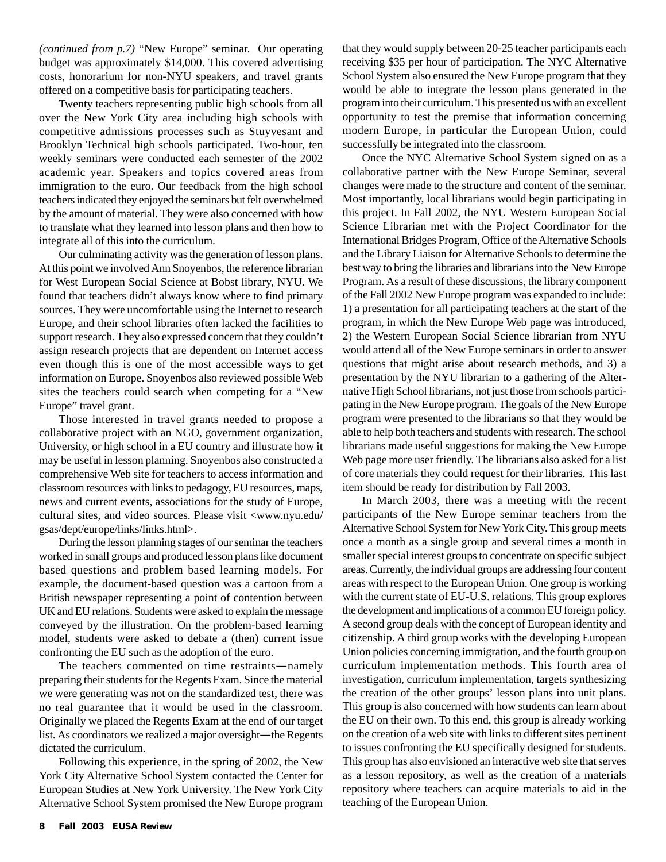*(continued from p.7)* "New Europe" seminar. Our operating budget was approximately \$14,000. This covered advertising costs, honorarium for non-NYU speakers, and travel grants offered on a competitive basis for participating teachers.

Twenty teachers representing public high schools from all over the New York City area including high schools with competitive admissions processes such as Stuyvesant and Brooklyn Technical high schools participated. Two-hour, ten weekly seminars were conducted each semester of the 2002 academic year. Speakers and topics covered areas from immigration to the euro. Our feedback from the high school teachers indicated they enjoyed the seminars but felt overwhelmed by the amount of material. They were also concerned with how to translate what they learned into lesson plans and then how to integrate all of this into the curriculum.

Our culminating activity was the generation of lesson plans. At this point we involved Ann Snoyenbos, the reference librarian for West European Social Science at Bobst library, NYU. We found that teachers didn't always know where to find primary sources. They were uncomfortable using the Internet to research Europe, and their school libraries often lacked the facilities to support research. They also expressed concern that they couldn't assign research projects that are dependent on Internet access even though this is one of the most accessible ways to get information on Europe. Snoyenbos also reviewed possible Web sites the teachers could search when competing for a "New Europe" travel grant.

Those interested in travel grants needed to propose a collaborative project with an NGO, government organization, University, or high school in a EU country and illustrate how it may be useful in lesson planning. Snoyenbos also constructed a comprehensive Web site for teachers to access information and classroom resources with links to pedagogy, EU resources, maps, news and current events, associations for the study of Europe, cultural sites, and video sources. Please visit <www.nyu.edu/ gsas/dept/europe/links/links.html>.

During the lesson planning stages of our seminar the teachers worked in small groups and produced lesson plans like document based questions and problem based learning models. For example, the document-based question was a cartoon from a British newspaper representing a point of contention between UK and EU relations. Students were asked to explain the message conveyed by the illustration. On the problem-based learning model, students were asked to debate a (then) current issue confronting the EU such as the adoption of the euro.

The teachers commented on time restraints*—*namely preparing their students for the Regents Exam. Since the material we were generating was not on the standardized test, there was no real guarantee that it would be used in the classroom. Originally we placed the Regents Exam at the end of our target list. As coordinators we realized a major oversight*—*the Regents dictated the curriculum.

Following this experience, in the spring of 2002, the New York City Alternative School System contacted the Center for European Studies at New York University. The New York City Alternative School System promised the New Europe program that they would supply between 20-25 teacher participants each receiving \$35 per hour of participation. The NYC Alternative School System also ensured the New Europe program that they would be able to integrate the lesson plans generated in the program into their curriculum. This presented us with an excellent opportunity to test the premise that information concerning modern Europe, in particular the European Union, could successfully be integrated into the classroom.

Once the NYC Alternative School System signed on as a collaborative partner with the New Europe Seminar, several changes were made to the structure and content of the seminar. Most importantly, local librarians would begin participating in this project. In Fall 2002, the NYU Western European Social Science Librarian met with the Project Coordinator for the International Bridges Program, Office of the Alternative Schools and the Library Liaison for Alternative Schools to determine the best way to bring the libraries and librarians into the New Europe Program. As a result of these discussions, the library component of the Fall 2002 New Europe program was expanded to include: 1) a presentation for all participating teachers at the start of the program, in which the New Europe Web page was introduced, 2) the Western European Social Science librarian from NYU would attend all of the New Europe seminars in order to answer questions that might arise about research methods, and 3) a presentation by the NYU librarian to a gathering of the Alternative High School librarians, not just those from schools participating in the New Europe program. The goals of the New Europe program were presented to the librarians so that they would be able to help both teachers and students with research. The school librarians made useful suggestions for making the New Europe Web page more user friendly. The librarians also asked for a list of core materials they could request for their libraries. This last item should be ready for distribution by Fall 2003.

In March 2003, there was a meeting with the recent participants of the New Europe seminar teachers from the Alternative School System for New York City. This group meets once a month as a single group and several times a month in smaller special interest groups to concentrate on specific subject areas. Currently, the individual groups are addressing four content areas with respect to the European Union. One group is working with the current state of EU-U.S. relations. This group explores the development and implications of a common EU foreign policy. A second group deals with the concept of European identity and citizenship. A third group works with the developing European Union policies concerning immigration, and the fourth group on curriculum implementation methods. This fourth area of investigation, curriculum implementation, targets synthesizing the creation of the other groups' lesson plans into unit plans. This group is also concerned with how students can learn about the EU on their own. To this end, this group is already working on the creation of a web site with links to different sites pertinent to issues confronting the EU specifically designed for students. This group has also envisioned an interactive web site that serves as a lesson repository, as well as the creation of a materials repository where teachers can acquire materials to aid in the teaching of the European Union.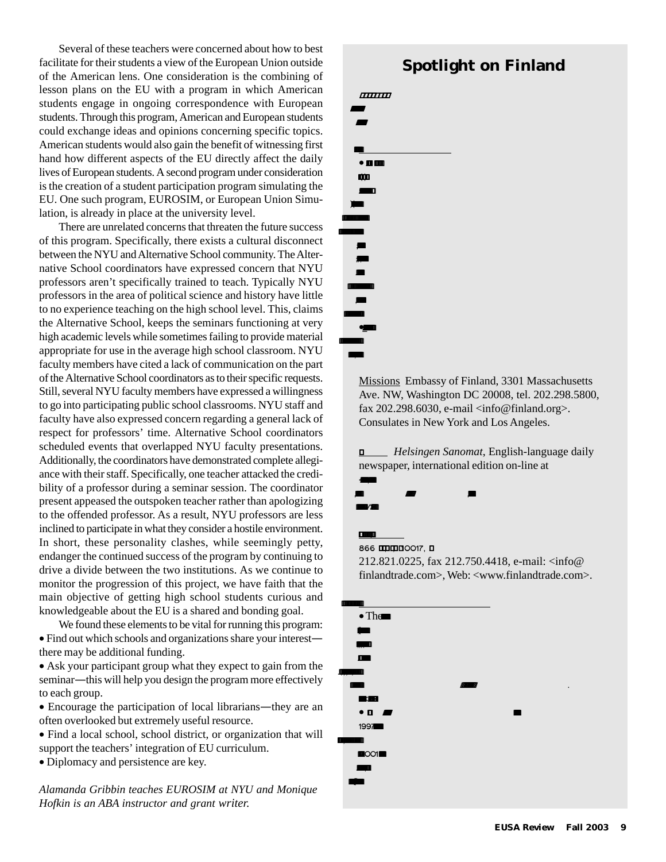Several of these teachers were concerned about how to best facilitate for their students a view of the European Union outside of the American lens. One consideration is the combining of lesson plans on the EU with a program in which American students engage in ongoing correspondence with European students. Through this program, American and European students could exchange ideas and opinions concerning specific topics. American students would also gain the benefit of witnessing first hand how different aspects of the EU directly affect the daily lives of European students. A second program under consideration is the creation of a student participation program simulating the EU. One such program, EUROSIM, or European Union Simulation, is already in place at the university level.

There are unrelated concerns that threaten the future success of this program. Specifically, there exists a cultural disconnect between the NYU and Alternative School community. The Alternative School coordinators have expressed concern that NYU professors aren't specifically trained to teach. Typically NYU professors in the area of political science and history have little to no experience teaching on the high school level. This, claims the Alternative School, keeps the seminars functioning at very high academic levels while sometimes failing to provide material appropriate for use in the average high school classroom. NYU faculty members have cited a lack of communication on the part of the Alternative School coordinators as to their specific requests. Still, several NYU faculty members have expressed a willingness to go into participating public school classrooms. NYU staff and faculty have also expressed concern regarding a general lack of respect for professors' time. Alternative School coordinators scheduled events that overlapped NYU faculty presentations. Additionally, the coordinators have demonstrated complete allegiance with their staff. Specifically, one teacher attacked the credibility of a professor during a seminar session. The coordinator present appeased the outspoken teacher rather than apologizing to the offended professor. As a result, NYU professors are less inclined to participate in what they consider a hostile environment. In short, these personality clashes, while seemingly petty, endanger the continued success of the program by continuing to drive a divide between the two institutions. As we continue to monitor the progression of this project, we have faith that the main objective of getting high school students curious and knowledgeable about the EU is a shared and bonding goal.

We found these elements to be vital for running this program: • Find out which schools and organizations share your interest there may be additional funding.

• Ask your participant group what they expect to gain from the seminar*—*this will help you design the program more effectively to each group.

• Encourage the participation of local librarians*—*they are an often overlooked but extremely useful resource.

• Find a local school, school district, or organization that will support the teachers' integration of EU curriculum.

• Diplomacy and persistence are key.

*Alamanda Gribbin teaches EUROSIM at NYU and Monique Hofkin is an ABA instructor and grant writer.*

# *.* **Spotlight on Finland**



Missions Embassy of Finland, 3301 Massachusetts Ave. NW, Washington DC 20008, tel. 202.298.5800, fax 202.298.6030, e-mail <info@finland.org>. Consulates in New York and Los Angeles.

 *Helsingen Sanomat*, English-language daily newspaper, international edition on-line at  $\mathbf{\tilde{R}}_{1}$ 

 $k4/8$ 

 $\mathbb{R}^2$ 

.

866, , , 10017, .

, and the same interaction of  $\mathcal{L}_\mathcal{A}$ 

212.821.0225, fax 212.750.4418, e-mail: <info@ finlandtrade.com>, Web: <www.finlandtrade.com>.

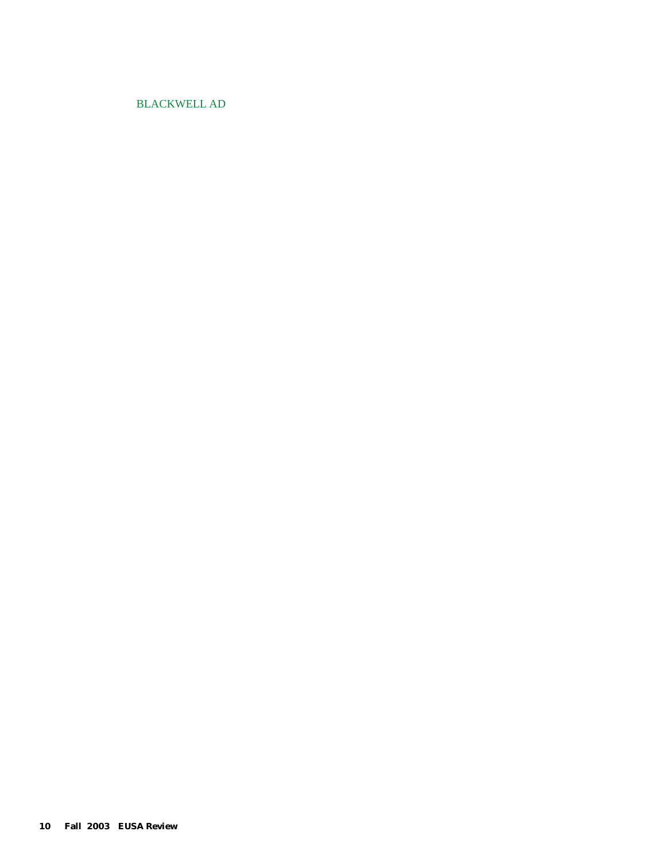#### BLACKWELL AD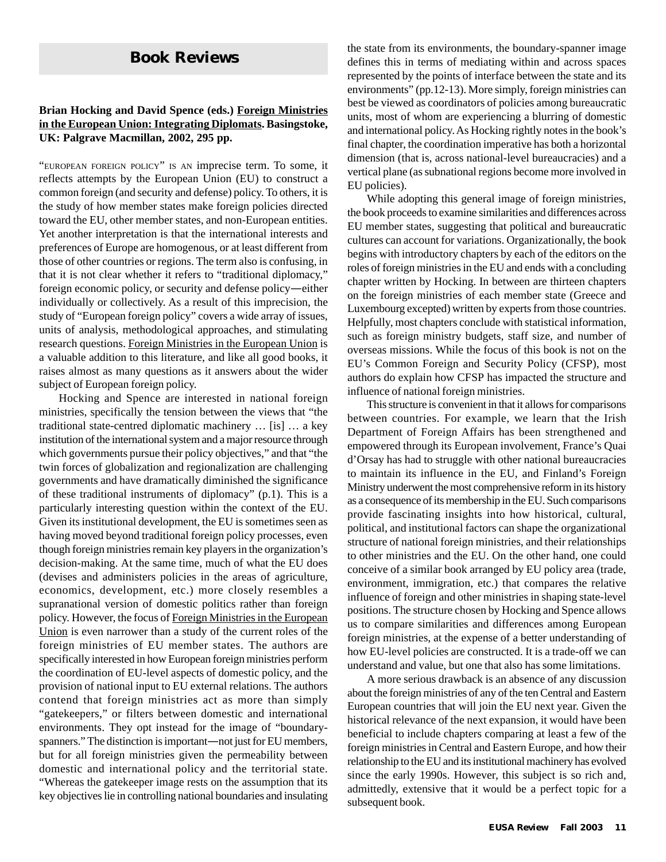# **Book Reviews**

#### **Brian Hocking and David Spence (eds.) Foreign Ministries in the European Union: Integrating Diplomats. Basingstoke, UK: Palgrave Macmillan, 2002, 295 pp.**

"EUROPEAN FOREIGN POLICY" IS AN imprecise term. To some, it reflects attempts by the European Union (EU) to construct a common foreign (and security and defense) policy. To others, it is the study of how member states make foreign policies directed toward the EU, other member states, and non-European entities. Yet another interpretation is that the international interests and preferences of Europe are homogenous, or at least different from those of other countries or regions. The term also is confusing, in that it is not clear whether it refers to "traditional diplomacy," foreign economic policy, or security and defense policy*—*either individually or collectively. As a result of this imprecision, the study of "European foreign policy" covers a wide array of issues, units of analysis, methodological approaches, and stimulating research questions. Foreign Ministries in the European Union is a valuable addition to this literature, and like all good books, it raises almost as many questions as it answers about the wider subject of European foreign policy.

Hocking and Spence are interested in national foreign ministries, specifically the tension between the views that "the traditional state-centred diplomatic machinery … [is] … a key institution of the international system and a major resource through which governments pursue their policy objectives," and that "the twin forces of globalization and regionalization are challenging governments and have dramatically diminished the significance of these traditional instruments of diplomacy" (p.1). This is a particularly interesting question within the context of the EU. Given its institutional development, the EU is sometimes seen as having moved beyond traditional foreign policy processes, even though foreign ministries remain key players in the organization's decision-making. At the same time, much of what the EU does (devises and administers policies in the areas of agriculture, economics, development, etc.) more closely resembles a supranational version of domestic politics rather than foreign policy. However, the focus of Foreign Ministries in the European Union is even narrower than a study of the current roles of the foreign ministries of EU member states. The authors are specifically interested in how European foreign ministries perform the coordination of EU-level aspects of domestic policy, and the provision of national input to EU external relations. The authors contend that foreign ministries act as more than simply "gatekeepers," or filters between domestic and international environments. They opt instead for the image of "boundaryspanners." The distinction is important*—*not just for EU members, but for all foreign ministries given the permeability between domestic and international policy and the territorial state. "Whereas the gatekeeper image rests on the assumption that its key objectives lie in controlling national boundaries and insulating

the state from its environments, the boundary-spanner image defines this in terms of mediating within and across spaces represented by the points of interface between the state and its environments" (pp.12-13). More simply, foreign ministries can best be viewed as coordinators of policies among bureaucratic units, most of whom are experiencing a blurring of domestic and international policy. As Hocking rightly notes in the book's final chapter, the coordination imperative has both a horizontal dimension (that is, across national-level bureaucracies) and a vertical plane (as subnational regions become more involved in EU policies).

While adopting this general image of foreign ministries, the book proceeds to examine similarities and differences across EU member states, suggesting that political and bureaucratic cultures can account for variations. Organizationally, the book begins with introductory chapters by each of the editors on the roles of foreign ministries in the EU and ends with a concluding chapter written by Hocking. In between are thirteen chapters on the foreign ministries of each member state (Greece and Luxembourg excepted) written by experts from those countries. Helpfully, most chapters conclude with statistical information, such as foreign ministry budgets, staff size, and number of overseas missions. While the focus of this book is not on the EU's Common Foreign and Security Policy (CFSP), most authors do explain how CFSP has impacted the structure and influence of national foreign ministries.

This structure is convenient in that it allows for comparisons between countries. For example, we learn that the Irish Department of Foreign Affairs has been strengthened and empowered through its European involvement, France's Quai d'Orsay has had to struggle with other national bureaucracies to maintain its influence in the EU, and Finland's Foreign Ministry underwent the most comprehensive reform in its history as a consequence of its membership in the EU. Such comparisons provide fascinating insights into how historical, cultural, political, and institutional factors can shape the organizational structure of national foreign ministries, and their relationships to other ministries and the EU. On the other hand, one could conceive of a similar book arranged by EU policy area (trade, environment, immigration, etc.) that compares the relative influence of foreign and other ministries in shaping state-level positions. The structure chosen by Hocking and Spence allows us to compare similarities and differences among European foreign ministries, at the expense of a better understanding of how EU-level policies are constructed. It is a trade-off we can understand and value, but one that also has some limitations.

A more serious drawback is an absence of any discussion about the foreign ministries of any of the ten Central and Eastern European countries that will join the EU next year. Given the historical relevance of the next expansion, it would have been beneficial to include chapters comparing at least a few of the foreign ministries in Central and Eastern Europe, and how their relationship to the EU and its institutional machinery has evolved since the early 1990s. However, this subject is so rich and, admittedly, extensive that it would be a perfect topic for a subsequent book.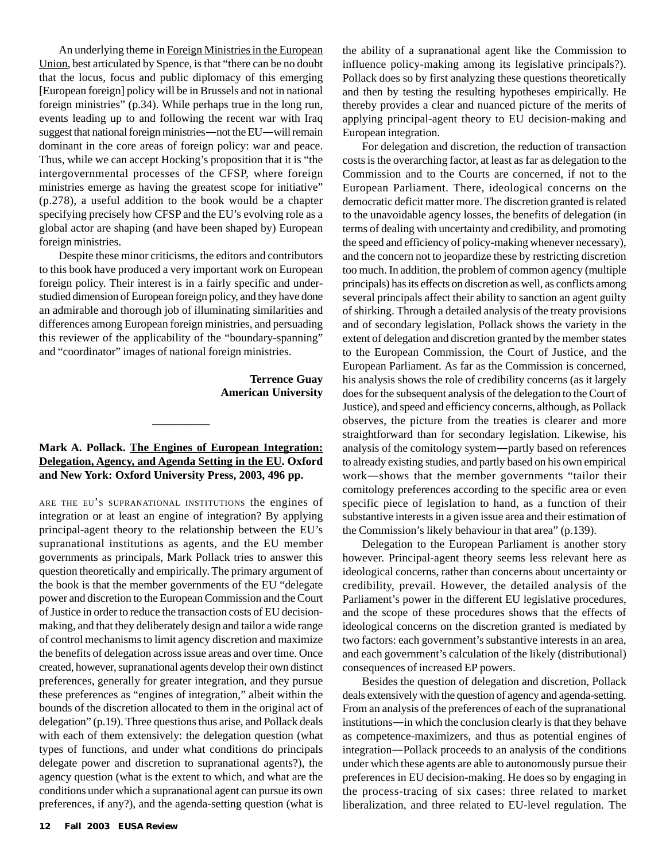An underlying theme in Foreign Ministries in the European Union, best articulated by Spence, is that "there can be no doubt that the locus, focus and public diplomacy of this emerging [European foreign] policy will be in Brussels and not in national foreign ministries" (p.34). While perhaps true in the long run, events leading up to and following the recent war with Iraq suggest that national foreign ministries*—*not the EU*—*will remain dominant in the core areas of foreign policy: war and peace. Thus, while we can accept Hocking's proposition that it is "the intergovernmental processes of the CFSP, where foreign ministries emerge as having the greatest scope for initiative" (p.278), a useful addition to the book would be a chapter specifying precisely how CFSP and the EU's evolving role as a global actor are shaping (and have been shaped by) European foreign ministries.

Despite these minor criticisms, the editors and contributors to this book have produced a very important work on European foreign policy. Their interest is in a fairly specific and understudied dimension of European foreign policy, and they have done an admirable and thorough job of illuminating similarities and differences among European foreign ministries, and persuading this reviewer of the applicability of the "boundary-spanning" and "coordinator" images of national foreign ministries.

> **Terrence Guay American University**

#### **Mark A. Pollack. The Engines of European Integration: Delegation, Agency, and Agenda Setting in the EU. Oxford and New York: Oxford University Press, 2003, 496 pp.**

**\_\_\_\_\_\_\_\_\_\_**

ARE THE EU'S SUPRANATIONAL INSTITUTIONS the engines of integration or at least an engine of integration? By applying principal-agent theory to the relationship between the EU's supranational institutions as agents, and the EU member governments as principals, Mark Pollack tries to answer this question theoretically and empirically. The primary argument of the book is that the member governments of the EU "delegate power and discretion to the European Commission and the Court of Justice in order to reduce the transaction costs of EU decisionmaking, and that they deliberately design and tailor a wide range of control mechanisms to limit agency discretion and maximize the benefits of delegation across issue areas and over time. Once created, however, supranational agents develop their own distinct preferences, generally for greater integration, and they pursue these preferences as "engines of integration," albeit within the bounds of the discretion allocated to them in the original act of delegation" (p.19). Three questions thus arise, and Pollack deals with each of them extensively: the delegation question (what types of functions, and under what conditions do principals delegate power and discretion to supranational agents?), the agency question (what is the extent to which, and what are the conditions under which a supranational agent can pursue its own preferences, if any?), and the agenda-setting question (what is

the ability of a supranational agent like the Commission to influence policy-making among its legislative principals?). Pollack does so by first analyzing these questions theoretically and then by testing the resulting hypotheses empirically. He thereby provides a clear and nuanced picture of the merits of applying principal-agent theory to EU decision-making and European integration.

For delegation and discretion, the reduction of transaction costs is the overarching factor, at least as far as delegation to the Commission and to the Courts are concerned, if not to the European Parliament. There, ideological concerns on the democratic deficit matter more. The discretion granted is related to the unavoidable agency losses, the benefits of delegation (in terms of dealing with uncertainty and credibility, and promoting the speed and efficiency of policy-making whenever necessary), and the concern not to jeopardize these by restricting discretion too much. In addition, the problem of common agency (multiple principals) has its effects on discretion as well, as conflicts among several principals affect their ability to sanction an agent guilty of shirking. Through a detailed analysis of the treaty provisions and of secondary legislation, Pollack shows the variety in the extent of delegation and discretion granted by the member states to the European Commission, the Court of Justice, and the European Parliament. As far as the Commission is concerned, his analysis shows the role of credibility concerns (as it largely does for the subsequent analysis of the delegation to the Court of Justice), and speed and efficiency concerns, although, as Pollack observes, the picture from the treaties is clearer and more straightforward than for secondary legislation. Likewise, his analysis of the comitology system*—*partly based on references to already existing studies, and partly based on his own empirical work*—*shows that the member governments "tailor their comitology preferences according to the specific area or even specific piece of legislation to hand, as a function of their substantive interests in a given issue area and their estimation of the Commission's likely behaviour in that area" (p.139).

Delegation to the European Parliament is another story however. Principal-agent theory seems less relevant here as ideological concerns, rather than concerns about uncertainty or credibility, prevail. However, the detailed analysis of the Parliament's power in the different EU legislative procedures, and the scope of these procedures shows that the effects of ideological concerns on the discretion granted is mediated by two factors: each government's substantive interests in an area, and each government's calculation of the likely (distributional) consequences of increased EP powers.

Besides the question of delegation and discretion, Pollack deals extensively with the question of agency and agenda-setting. From an analysis of the preferences of each of the supranational institutions*—*in which the conclusion clearly is that they behave as competence-maximizers, and thus as potential engines of integration*—*Pollack proceeds to an analysis of the conditions under which these agents are able to autonomously pursue their preferences in EU decision-making. He does so by engaging in the process-tracing of six cases: three related to market liberalization, and three related to EU-level regulation. The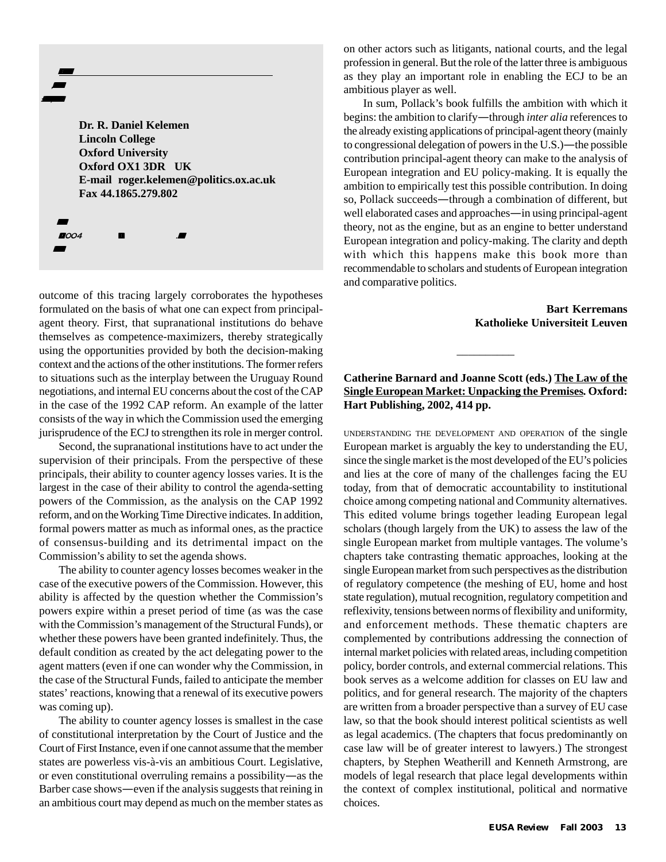**Dr. R. Daniel Kelemen Lincoln College Oxford University Oxford OX1 3DR UK E-mail roger.kelemen@politics.ox.ac.uk Fax 44.1865.279.802**

2004

.

. .

 ,  $\mathbf{r}$ 

outcome of this tracing largely corroborates the hypotheses formulated on the basis of what one can expect from principalagent theory. First, that supranational institutions do behave themselves as competence-maximizers, thereby strategically using the opportunities provided by both the decision-making context and the actions of the other institutions. The former refers to situations such as the interplay between the Uruguay Round negotiations, and internal EU concerns about the cost of the CAP in the case of the 1992 CAP reform. An example of the latter consists of the way in which the Commission used the emerging jurisprudence of the ECJ to strengthen its role in merger control.

Second, the supranational institutions have to act under the supervision of their principals. From the perspective of these principals, their ability to counter agency losses varies. It is the largest in the case of their ability to control the agenda-setting powers of the Commission, as the analysis on the CAP 1992 reform, and on the Working Time Directive indicates. In addition, formal powers matter as much as informal ones, as the practice of consensus-building and its detrimental impact on the Commission's ability to set the agenda shows.

The ability to counter agency losses becomes weaker in the case of the executive powers of the Commission. However, this ability is affected by the question whether the Commission's powers expire within a preset period of time (as was the case with the Commission's management of the Structural Funds), or whether these powers have been granted indefinitely. Thus, the default condition as created by the act delegating power to the agent matters (even if one can wonder why the Commission, in the case of the Structural Funds, failed to anticipate the member states' reactions, knowing that a renewal of its executive powers was coming up).

The ability to counter agency losses is smallest in the case of constitutional interpretation by the Court of Justice and the Court of First Instance, even if one cannot assume that the member states are powerless vis-à-vis an ambitious Court. Legislative, or even constitutional overruling remains a possibility*—*as the Barber case shows*—*even if the analysis suggests that reining in an ambitious court may depend as much on the member states as on other actors such as litigants, national courts, and the legal profession in general. But the role of the latter three is ambiguous as they play an important role in enabling the ECJ to be an ambitious player as well.

In sum, Pollack's book fulfills the ambition with which it begins: the ambition to clarify*—*through *inter alia* references to the already existing applications of principal-agent theory (mainly to congressional delegation of powers in the U.S.)*—*the possible contribution principal-agent theory can make to the analysis of European integration and EU policy-making. It is equally the ambition to empirically test this possible contribution. In doing so, Pollack succeeds*—*through a combination of different, but well elaborated cases and approaches*—*in using principal-agent theory, not as the engine, but as an engine to better understand European integration and policy-making. The clarity and depth with which this happens make this book more than recommendable to scholars and students of European integration and comparative politics.

> **Bart Kerremans Katholieke Universiteit Leuven**

#### **Catherine Barnard and Joanne Scott (eds.) The Law of the Single European Market: Unpacking the Premises***.* **Oxford: Hart Publishing, 2002, 414 pp.**

 $\overline{\phantom{a}}$ 

UNDERSTANDING THE DEVELOPMENT AND OPERATION of the single European market is arguably the key to understanding the EU, since the single market is the most developed of the EU's policies and lies at the core of many of the challenges facing the EU today, from that of democratic accountability to institutional choice among competing national and Community alternatives. This edited volume brings together leading European legal scholars (though largely from the UK) to assess the law of the single European market from multiple vantages. The volume's chapters take contrasting thematic approaches, looking at the single European market from such perspectives as the distribution of regulatory competence (the meshing of EU, home and host state regulation), mutual recognition, regulatory competition and reflexivity, tensions between norms of flexibility and uniformity, and enforcement methods. These thematic chapters are complemented by contributions addressing the connection of internal market policies with related areas, including competition policy, border controls, and external commercial relations. This book serves as a welcome addition for classes on EU law and politics, and for general research. The majority of the chapters are written from a broader perspective than a survey of EU case law, so that the book should interest political scientists as well as legal academics. (The chapters that focus predominantly on case law will be of greater interest to lawyers.) The strongest chapters, by Stephen Weatherill and Kenneth Armstrong, are models of legal research that place legal developments within the context of complex institutional, political and normative choices.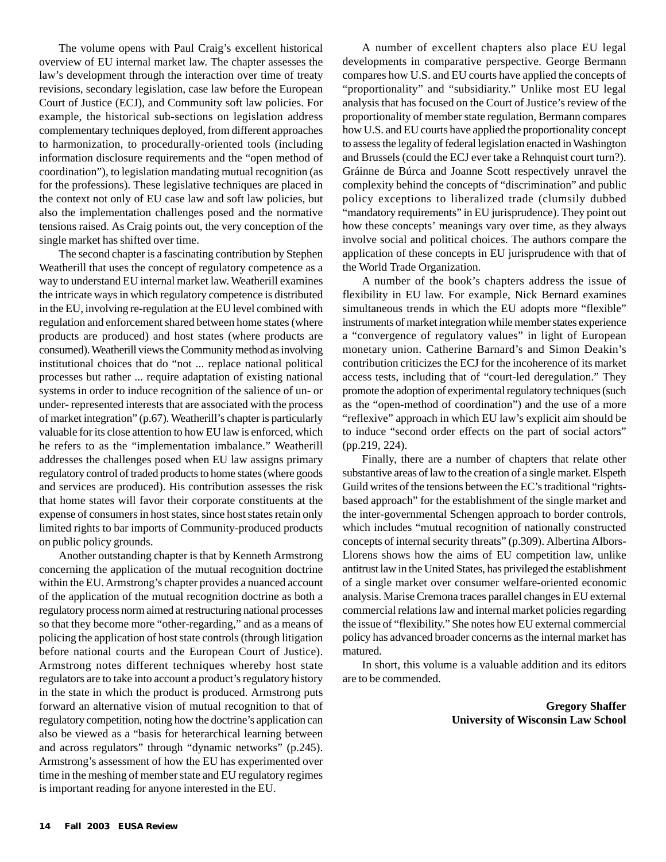The volume opens with Paul Craig's excellent historical overview of EU internal market law. The chapter assesses the law's development through the interaction over time of treaty revisions, secondary legislation, case law before the European Court of Justice (ECJ), and Community soft law policies. For example, the historical sub-sections on legislation address complementary techniques deployed, from different approaches to harmonization, to procedurally-oriented tools (including information disclosure requirements and the "open method of coordination"), to legislation mandating mutual recognition (as for the professions). These legislative techniques are placed in the context not only of EU case law and soft law policies, but also the implementation challenges posed and the normative tensions raised. As Craig points out, the very conception of the single market has shifted over time.

The second chapter is a fascinating contribution by Stephen Weatherill that uses the concept of regulatory competence as a way to understand EU internal market law. Weatherill examines the intricate ways in which regulatory competence is distributed in the EU, involving re-regulation at the EU level combined with regulation and enforcement shared between home states (where products are produced) and host states (where products are consumed). Weatherill views the Community method as involving institutional choices that do "not ... replace national political processes but rather ... require adaptation of existing national systems in order to induce recognition of the salience of un- or under- represented interests that are associated with the process of market integration" (p.67). Weatherill's chapter is particularly valuable for its close attention to how EU law is enforced, which he refers to as the "implementation imbalance." Weatherill addresses the challenges posed when EU law assigns primary regulatory control of traded products to home states (where goods and services are produced). His contribution assesses the risk that home states will favor their corporate constituents at the expense of consumers in host states, since host states retain only limited rights to bar imports of Community-produced products on public policy grounds.

Another outstanding chapter is that by Kenneth Armstrong concerning the application of the mutual recognition doctrine within the EU. Armstrong's chapter provides a nuanced account of the application of the mutual recognition doctrine as both a regulatory process norm aimed at restructuring national processes so that they become more "other-regarding," and as a means of policing the application of host state controls (through litigation before national courts and the European Court of Justice). Armstrong notes different techniques whereby host state regulators are to take into account a product's regulatory history in the state in which the product is produced. Armstrong puts forward an alternative vision of mutual recognition to that of regulatory competition, noting how the doctrine's application can also be viewed as a "basis for heterarchical learning between and across regulators" through "dynamic networks" (p.245). Armstrong's assessment of how the EU has experimented over time in the meshing of member state and EU regulatory regimes is important reading for anyone interested in the EU.

A number of excellent chapters also place EU legal developments in comparative perspective. George Bermann compares how U.S. and EU courts have applied the concepts of "proportionality" and "subsidiarity." Unlike most EU legal analysis that has focused on the Court of Justice's review of the proportionality of member state regulation, Bermann compares how U.S. and EU courts have applied the proportionality concept to assess the legality of federal legislation enacted in Washington and Brussels (could the ECJ ever take a Rehnquist court turn?). Gráinne de Búrca and Joanne Scott respectively unravel the complexity behind the concepts of "discrimination" and public policy exceptions to liberalized trade (clumsily dubbed "mandatory requirements" in EU jurisprudence). They point out how these concepts' meanings vary over time, as they always involve social and political choices. The authors compare the application of these concepts in EU jurisprudence with that of the World Trade Organization.

A number of the book's chapters address the issue of flexibility in EU law. For example, Nick Bernard examines simultaneous trends in which the EU adopts more "flexible" instruments of market integration while member states experience a "convergence of regulatory values" in light of European monetary union. Catherine Barnard's and Simon Deakin's contribution criticizes the ECJ for the incoherence of its market access tests, including that of "court-led deregulation." They promote the adoption of experimental regulatory techniques (such as the "open-method of coordination") and the use of a more "reflexive" approach in which EU law's explicit aim should be to induce "second order effects on the part of social actors" (pp.219, 224).

Finally, there are a number of chapters that relate other substantive areas of law to the creation of a single market. Elspeth Guild writes of the tensions between the EC's traditional "rightsbased approach" for the establishment of the single market and the inter-governmental Schengen approach to border controls, which includes "mutual recognition of nationally constructed concepts of internal security threats" (p.309). Albertina Albors-Llorens shows how the aims of EU competition law, unlike antitrust law in the United States, has privileged the establishment of a single market over consumer welfare-oriented economic analysis. Marise Cremona traces parallel changes in EU external commercial relations law and internal market policies regarding the issue of "flexibility." She notes how EU external commercial policy has advanced broader concerns as the internal market has matured.

In short, this volume is a valuable addition and its editors are to be commended.

> **Gregory Shaffer University of Wisconsin Law School**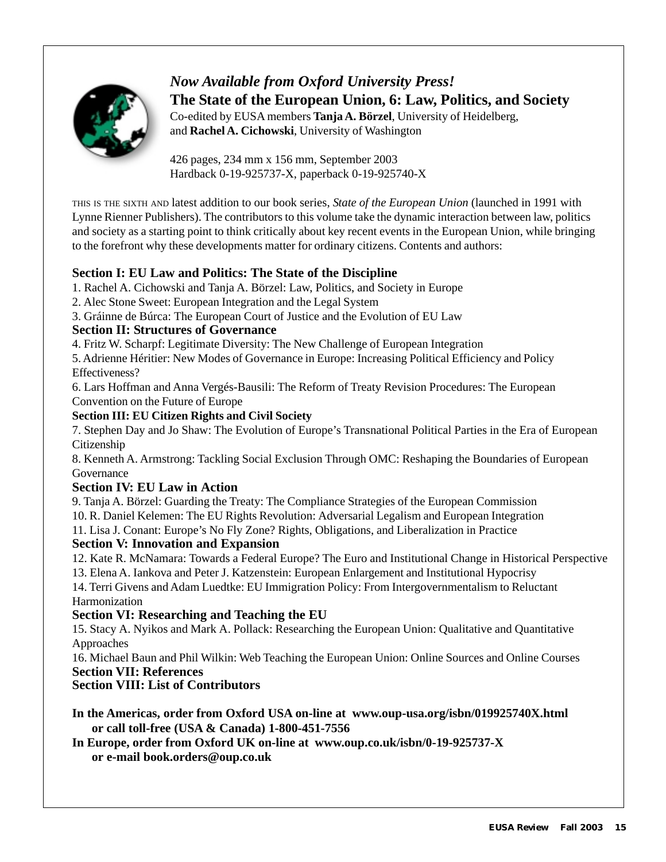

# *Now Available from Oxford University Press!* **The State of the European Union, 6: Law, Politics, and Society**

Co-edited by EUSA members **Tanja A. Börzel**, University of Heidelberg, and **Rachel A. Cichowski**, University of Washington

426 pages, 234 mm x 156 mm, September 2003 Hardback 0-19-925737-X, paperback 0-19-925740-X

THIS IS THE SIXTH AND latest addition to our book series, *State of the European Union* (launched in 1991 with Lynne Rienner Publishers). The contributors to this volume take the dynamic interaction between law, politics and society as a starting point to think critically about key recent events in the European Union, while bringing to the forefront why these developments matter for ordinary citizens. Contents and authors:

# **Section I: EU Law and Politics: The State of the Discipline**

- 1. Rachel A. Cichowski and Tanja A. Börzel: Law, Politics, and Society in Europe
- 2. Alec Stone Sweet: European Integration and the Legal System
- 3. Gráinne de Búrca: The European Court of Justice and the Evolution of EU Law

# **Section II: Structures of Governance**

4. Fritz W. Scharpf: Legitimate Diversity: The New Challenge of European Integration

5. Adrienne Héritier: New Modes of Governance in Europe: Increasing Political Efficiency and Policy Effectiveness?

6. Lars Hoffman and Anna Vergés-Bausili: The Reform of Treaty Revision Procedures: The European Convention on the Future of Europe

# **Section III: EU Citizen Rights and Civil Society**

7. Stephen Day and Jo Shaw: The Evolution of Europe's Transnational Political Parties in the Era of European Citizenship

8. Kenneth A. Armstrong: Tackling Social Exclusion Through OMC: Reshaping the Boundaries of European Governance

# **Section IV: EU Law in Action**

9. Tanja A. Börzel: Guarding the Treaty: The Compliance Strategies of the European Commission 10. R. Daniel Kelemen: The EU Rights Revolution: Adversarial Legalism and European Integration 11. Lisa J. Conant: Europe's No Fly Zone? Rights, Obligations, and Liberalization in Practice

# **Section V: Innovation and Expansion**

12. Kate R. McNamara: Towards a Federal Europe? The Euro and Institutional Change in Historical Perspective 13. Elena A. Iankova and Peter J. Katzenstein: European Enlargement and Institutional Hypocrisy

14. Terri Givens and Adam Luedtke: EU Immigration Policy: From Intergovernmentalism to Reluctant Harmonization

# **Section VI: Researching and Teaching the EU**

15. Stacy A. Nyikos and Mark A. Pollack: Researching the European Union: Qualitative and Quantitative Approaches

16. Michael Baun and Phil Wilkin: Web Teaching the European Union: Online Sources and Online Courses **Section VII: References**

# **Section VIII: List of Contributors**

**In the Americas, order from Oxford USA on-line at www.oup-usa.org/isbn/019925740X.html or call toll-free (USA & Canada) 1-800-451-7556**

**In Europe, order from Oxford UK on-line at www.oup.co.uk/isbn/0-19-925737-X or e-mail book.orders@oup.co.uk**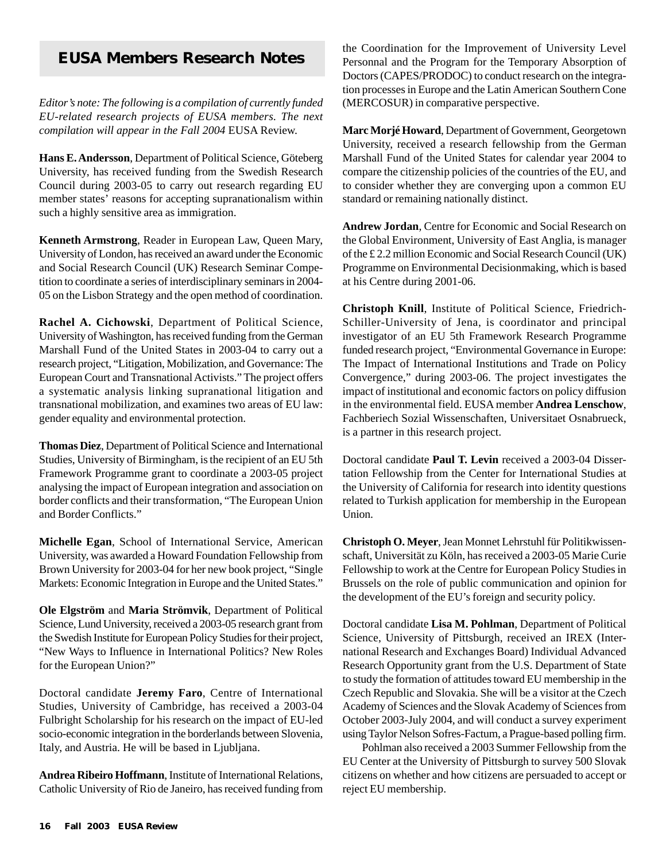# **EUSA Members Research Notes**

*Editor's note: The following is a compilation of currently funded EU-related research projects of EUSA members. The next compilation will appear in the Fall 2004* EUSA Review.

**Hans E. Andersson**, Department of Political Science, Göteberg University, has received funding from the Swedish Research Council during 2003-05 to carry out research regarding EU member states' reasons for accepting supranationalism within such a highly sensitive area as immigration.

**Kenneth Armstrong**, Reader in European Law, Queen Mary, University of London, has received an award under the Economic and Social Research Council (UK) Research Seminar Competition to coordinate a series of interdisciplinary seminars in 2004- 05 on the Lisbon Strategy and the open method of coordination.

**Rachel A. Cichowski**, Department of Political Science, University of Washington, has received funding from the German Marshall Fund of the United States in 2003-04 to carry out a research project, "Litigation, Mobilization, and Governance: The European Court and Transnational Activists." The project offers a systematic analysis linking supranational litigation and transnational mobilization, and examines two areas of EU law: gender equality and environmental protection.

**Thomas Diez**, Department of Political Science and International Studies, University of Birmingham, is the recipient of an EU 5th Framework Programme grant to coordinate a 2003-05 project analysing the impact of European integration and association on border conflicts and their transformation, "The European Union and Border Conflicts."

**Michelle Egan**, School of International Service, American University, was awarded a Howard Foundation Fellowship from Brown University for 2003-04 for her new book project, "Single Markets: Economic Integration in Europe and the United States."

**Ole Elgström** and **Maria Strömvik**, Department of Political Science, Lund University, received a 2003-05 research grant from the Swedish Institute for European Policy Studies for their project, "New Ways to Influence in International Politics? New Roles for the European Union?"

Doctoral candidate **Jeremy Faro**, Centre of International Studies, University of Cambridge, has received a 2003-04 Fulbright Scholarship for his research on the impact of EU-led socio-economic integration in the borderlands between Slovenia, Italy, and Austria. He will be based in Ljubljana.

**Andrea Ribeiro Hoffmann**, Institute of International Relations, Catholic University of Rio de Janeiro, has received funding from the Coordination for the Improvement of University Level Personnal and the Program for the Temporary Absorption of Doctors (CAPES/PRODOC) to conduct research on the integration processes in Europe and the Latin American Southern Cone (MERCOSUR) in comparative perspective.

**Marc Morjé Howard**, Department of Government, Georgetown University, received a research fellowship from the German Marshall Fund of the United States for calendar year 2004 to compare the citizenship policies of the countries of the EU, and to consider whether they are converging upon a common EU standard or remaining nationally distinct.

**Andrew Jordan**, Centre for Economic and Social Research on the Global Environment, University of East Anglia, is manager of the £ 2.2 million Economic and Social Research Council (UK) Programme on Environmental Decisionmaking, which is based at his Centre during 2001-06.

**Christoph Knill**, Institute of Political Science, Friedrich-Schiller-University of Jena, is coordinator and principal investigator of an EU 5th Framework Research Programme funded research project, "Environmental Governance in Europe: The Impact of International Institutions and Trade on Policy Convergence," during 2003-06. The project investigates the impact of institutional and economic factors on policy diffusion in the environmental field. EUSA member **Andrea Lenschow**, Fachberiech Sozial Wissenschaften, Universitaet Osnabrueck, is a partner in this research project.

Doctoral candidate **Paul T. Levin** received a 2003-04 Dissertation Fellowship from the Center for International Studies at the University of California for research into identity questions related to Turkish application for membership in the European Union.

**Christoph O. Meyer**, Jean Monnet Lehrstuhl für Politikwissenschaft, Universität zu Köln, has received a 2003-05 Marie Curie Fellowship to work at the Centre for European Policy Studies in Brussels on the role of public communication and opinion for the development of the EU's foreign and security policy.

Doctoral candidate **Lisa M. Pohlman**, Department of Political Science, University of Pittsburgh, received an IREX (International Research and Exchanges Board) Individual Advanced Research Opportunity grant from the U.S. Department of State to study the formation of attitudes toward EU membership in the Czech Republic and Slovakia. She will be a visitor at the Czech Academy of Sciences and the Slovak Academy of Sciences from October 2003-July 2004, and will conduct a survey experiment using Taylor Nelson Sofres-Factum, a Prague-based polling firm.

Pohlman also received a 2003 Summer Fellowship from the EU Center at the University of Pittsburgh to survey 500 Slovak citizens on whether and how citizens are persuaded to accept or reject EU membership.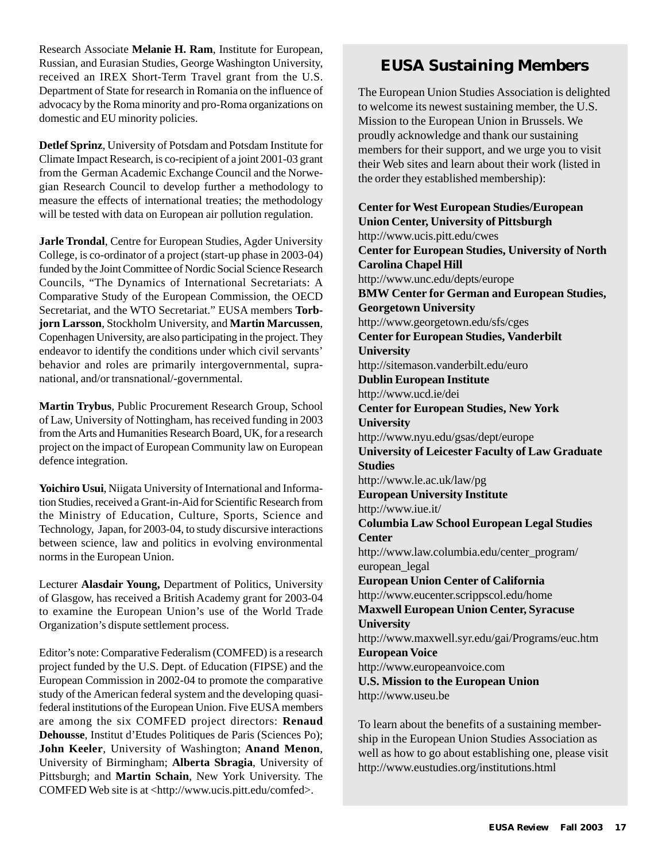Research Associate **Melanie H. Ram**, Institute for European, Russian, and Eurasian Studies, George Washington University, received an IREX Short-Term Travel grant from the U.S. Department of State for research in Romania on the influence of advocacy by the Roma minority and pro-Roma organizations on domestic and EU minority policies.

**Detlef Sprinz**, University of Potsdam and Potsdam Institute for Climate Impact Research, is co-recipient of a joint 2001-03 grant from the German Academic Exchange Council and the Norwegian Research Council to develop further a methodology to measure the effects of international treaties; the methodology will be tested with data on European air pollution regulation.

**Jarle Trondal**, Centre for European Studies, Agder University College, is co-ordinator of a project (start-up phase in 2003-04) funded by the Joint Committee of Nordic Social Science Research Councils, "The Dynamics of International Secretariats: A Comparative Study of the European Commission, the OECD Secretariat, and the WTO Secretariat." EUSA members **Torbjorn Larsson**, Stockholm University, and **Martin Marcussen**, Copenhagen University, are also participating in the project. They endeavor to identify the conditions under which civil servants' behavior and roles are primarily intergovernmental, supranational, and/or transnational/-governmental.

**Martin Trybus**, Public Procurement Research Group, School of Law, University of Nottingham, has received funding in 2003 from the Arts and Humanities Research Board, UK, for a research project on the impact of European Community law on European defence integration.

**Yoichiro Usui**, Niigata University of International and Information Studies, received a Grant-in-Aid for Scientific Research from the Ministry of Education, Culture, Sports, Science and Technology, Japan, for 2003-04, to study discursive interactions between science, law and politics in evolving environmental norms in the European Union.

Lecturer **Alasdair Young,** Department of Politics, University of Glasgow, has received a British Academy grant for 2003-04 to examine the European Union's use of the World Trade Organization's dispute settlement process.

Editor's note: Comparative Federalism (COMFED) is a research project funded by the U.S. Dept. of Education (FIPSE) and the European Commission in 2002-04 to promote the comparative study of the American federal system and the developing quasifederal institutions of the European Union. Five EUSA members are among the six COMFED project directors: **Renaud Dehousse**, Institut d'Etudes Politiques de Paris (Sciences Po); **John Keeler**, University of Washington; **Anand Menon**, University of Birmingham; **Alberta Sbragia**, University of Pittsburgh; and **Martin Schain**, New York University. The COMFED Web site is at <http://www.ucis.pitt.edu/comfed>.

# **EUSA Sustaining Members**

The European Union Studies Association is delighted to welcome its newest sustaining member, the U.S. Mission to the European Union in Brussels. We proudly acknowledge and thank our sustaining members for their support, and we urge you to visit their Web sites and learn about their work (listed in the order they established membership):

**Center for West European Studies/European Union Center, University of Pittsburgh** http://www.ucis.pitt.edu/cwes **Center for European Studies, University of North Carolina Chapel Hill** http://www.unc.edu/depts/europe **BMW Center for German and European Studies, Georgetown University** http://www.georgetown.edu/sfs/cges **Center for European Studies, Vanderbilt University** http://sitemason.vanderbilt.edu/euro **Dublin European Institute** http://www.ucd.ie/dei **Center for European Studies, New York University** http://www.nyu.edu/gsas/dept/europe **University of Leicester Faculty of Law Graduate Studies** http://www.le.ac.uk/law/pg **European University Institute** http://www.iue.it/ **Columbia Law School European Legal Studies Center** http://www.law.columbia.edu/center\_program/ european\_legal **European Union Center of California** http://www.eucenter.scrippscol.edu/home **Maxwell European Union Center, Syracuse University** http://www.maxwell.syr.edu/gai/Programs/euc.htm **European Voice** http://www.europeanvoice.com **U.S. Mission to the European Union** http://www.useu.be

To learn about the benefits of a sustaining membership in the European Union Studies Association as well as how to go about establishing one, please visit http://www.eustudies.org/institutions.html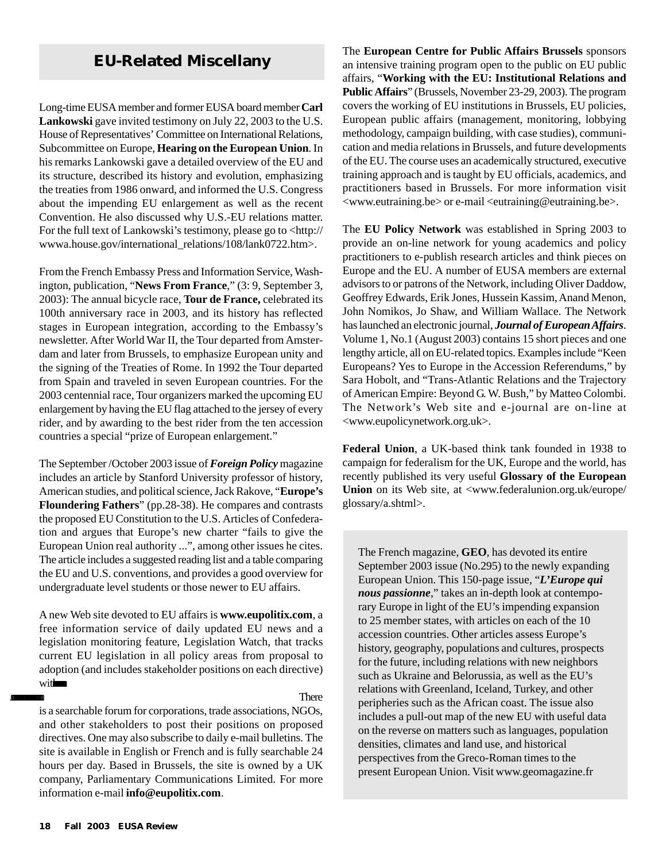# **EU-Related Miscellany**

Long-time EUSA member and former EUSA board member **Carl Lankowski** gave invited testimony on July 22, 2003 to the U.S. House of Representatives' Committee on International Relations, Subcommittee on Europe, **Hearing on the European Union**. In his remarks Lankowski gave a detailed overview of the EU and its structure, described its history and evolution, emphasizing the treaties from 1986 onward, and informed the U.S. Congress about the impending EU enlargement as well as the recent Convention. He also discussed why U.S.-EU relations matter. For the full text of Lankowski's testimony, please go to <http:// wwwa.house.gov/international\_relations/108/lank0722.htm>.

From the French Embassy Press and Information Service, Washington, publication, "**News From France**," (3: 9, September 3, 2003): The annual bicycle race, **Tour de France,** celebrated its 100th anniversary race in 2003, and its history has reflected stages in European integration, according to the Embassy's newsletter. After World War II, the Tour departed from Amsterdam and later from Brussels, to emphasize European unity and the signing of the Treaties of Rome. In 1992 the Tour departed from Spain and traveled in seven European countries. For the 2003 centennial race, Tour organizers marked the upcoming EU enlargement by having the EU flag attached to the jersey of every rider, and by awarding to the best rider from the ten accession countries a special "prize of European enlargement."

The September /October 2003 issue of *Foreign Policy* magazine includes an article by Stanford University professor of history, American studies, and political science, Jack Rakove, "**Europe's Floundering Fathers**" (pp.28-38). He compares and contrasts the proposed EU Constitution to the U.S. Articles of Confederation and argues that Europe's new charter "fails to give the European Union real authority ...", among other issues he cites. The article includes a suggested reading list and a table comparing the EU and U.S. conventions, and provides a good overview for undergraduate level students or those newer to EU affairs.

A new Web site devoted to EU affairs is **www.eupolitix.com**, a free information service of daily updated EU news and a legislation monitoring feature, Legislation Watch, that tracks current EU legislation in all policy areas from proposal to adoption (and includes stakeholder positions on each directive) with

. There

is a searchable forum for corporations, trade associations, NGOs, and other stakeholders to post their positions on proposed directives. One may also subscribe to daily e-mail bulletins. The site is available in English or French and is fully searchable 24 hours per day. Based in Brussels, the site is owned by a UK company, Parliamentary Communications Limited. For more information e-mail **info@eupolitix.com**.

The **European Centre for Public Affairs Brussels** sponsors an intensive training program open to the public on EU public affairs, "**Working with the EU: Institutional Relations and Public Affairs**" (Brussels, November 23-29, 2003). The program covers the working of EU institutions in Brussels, EU policies, European public affairs (management, monitoring, lobbying methodology, campaign building, with case studies), communication and media relations in Brussels, and future developments of the EU. The course uses an academically structured, executive training approach and is taught by EU officials, academics, and practitioners based in Brussels. For more information visit  $\langle$ www.eutraining.be $>$  or e-mail  $\langle$  eutraining@eutraining.be $>$ .

The **EU Policy Network** was established in Spring 2003 to provide an on-line network for young academics and policy practitioners to e-publish research articles and think pieces on Europe and the EU. A number of EUSA members are external advisors to or patrons of the Network, including Oliver Daddow, Geoffrey Edwards, Erik Jones, Hussein Kassim, Anand Menon, John Nomikos, Jo Shaw, and William Wallace. The Network has launched an electronic journal, *Journal of European Affairs*. Volume 1, No.1 (August 2003) contains 15 short pieces and one lengthy article, all on EU-related topics. Examples include "Keen Europeans? Yes to Europe in the Accession Referendums," by Sara Hobolt, and "Trans-Atlantic Relations and the Trajectory of American Empire: Beyond G. W. Bush," by Matteo Colombi. The Network's Web site and e-journal are on-line at <www.eupolicynetwork.org.uk>.

**Federal Union**, a UK-based think tank founded in 1938 to campaign for federalism for the UK, Europe and the world, has recently published its very useful **Glossary of the European** Union on its Web site, at <www.federalunion.org.uk/europe/ glossary/a.shtml>.

The French magazine, **GEO**, has devoted its entire September 2003 issue (No.295) to the newly expanding European Union. This 150-page issue, "*L'Europe qui nous passionne*," takes an in-depth look at contemporary Europe in light of the EU's impending expansion to 25 member states, with articles on each of the 10 accession countries. Other articles assess Europe's history, geography, populations and cultures, prospects for the future, including relations with new neighbors such as Ukraine and Belorussia, as well as the EU's relations with Greenland, Iceland, Turkey, and other peripheries such as the African coast. The issue also includes a pull-out map of the new EU with useful data on the reverse on matters such as languages, population densities, climates and land use, and historical perspectives from the Greco-Roman times to the present European Union. Visit www.geomagazine.fr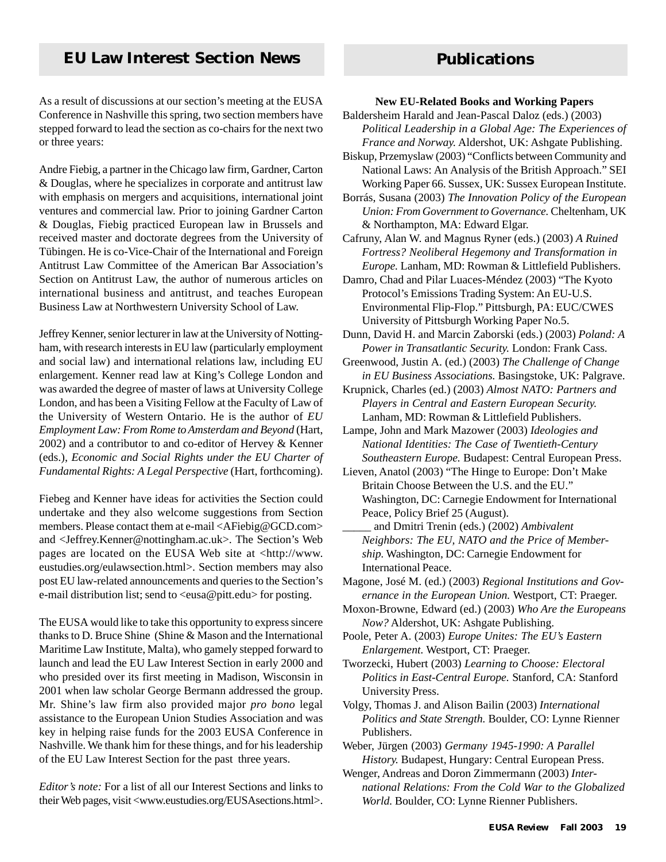# **EU Law Interest Section News Publications**

As a result of discussions at our section's meeting at the EUSA Conference in Nashville this spring, two section members have stepped forward to lead the section as co-chairs for the next two or three years:

Andre Fiebig, a partner in the Chicago law firm, Gardner, Carton & Douglas, where he specializes in corporate and antitrust law with emphasis on mergers and acquisitions, international joint ventures and commercial law. Prior to joining Gardner Carton & Douglas, Fiebig practiced European law in Brussels and received master and doctorate degrees from the University of Tübingen. He is co-Vice-Chair of the International and Foreign Antitrust Law Committee of the American Bar Association's Section on Antitrust Law, the author of numerous articles on international business and antitrust, and teaches European Business Law at Northwestern University School of Law.

Jeffrey Kenner, senior lecturer in law at the University of Nottingham, with research interests in EU law (particularly employment and social law) and international relations law, including EU enlargement. Kenner read law at King's College London and was awarded the degree of master of laws at University College London, and has been a Visiting Fellow at the Faculty of Law of the University of Western Ontario. He is the author of *EU Employment Law: From Rome to Amsterdam and Beyond* (Hart, 2002) and a contributor to and co-editor of Hervey & Kenner (eds.), *Economic and Social Rights under the EU Charter of Fundamental Rights: A Legal Perspective* (Hart, forthcoming).

Fiebeg and Kenner have ideas for activities the Section could undertake and they also welcome suggestions from Section members. Please contact them at e-mail <AFiebig@GCD.com> and <Jeffrey.Kenner@nottingham.ac.uk>. The Section's Web pages are located on the EUSA Web site at <http://www. eustudies.org/eulawsection.html>. Section members may also post EU law-related announcements and queries to the Section's e-mail distribution list; send to <eusa@pitt.edu> for posting.

The EUSA would like to take this opportunity to express sincere thanks to D. Bruce Shine (Shine & Mason and the International Maritime Law Institute, Malta), who gamely stepped forward to launch and lead the EU Law Interest Section in early 2000 and who presided over its first meeting in Madison, Wisconsin in 2001 when law scholar George Bermann addressed the group. Mr. Shine's law firm also provided major *pro bono* legal assistance to the European Union Studies Association and was key in helping raise funds for the 2003 EUSA Conference in Nashville. We thank him for these things, and for his leadership of the EU Law Interest Section for the past three years.

*Editor's note:* For a list of all our Interest Sections and links to their Web pages, visit <www.eustudies.org/EUSAsections.html>.

#### **New EU-Related Books and Working Papers**

- Baldersheim Harald and Jean-Pascal Daloz (eds.) (2003) *Political Leadership in a Global Age: The Experiences of France and Norway.* Aldershot, UK: Ashgate Publishing.
- Biskup, Przemyslaw (2003) "Conflicts between Community and National Laws: An Analysis of the British Approach." SEI Working Paper 66. Sussex, UK: Sussex European Institute.
- Borrás, Susana (2003) *The Innovation Policy of the European Union: From Government to Governance.* Cheltenham, UK & Northampton, MA: Edward Elgar.

Cafruny, Alan W. and Magnus Ryner (eds.) (2003) *A Ruined Fortress? Neoliberal Hegemony and Transformation in Europe.* Lanham, MD: Rowman & Littlefield Publishers.

- Damro, Chad and Pilar Luaces-Méndez (2003) "The Kyoto Protocol's Emissions Trading System: An EU-U.S. Environmental Flip-Flop." Pittsburgh, PA: EUC/CWES University of Pittsburgh Working Paper No.5.
- Dunn, David H. and Marcin Zaborski (eds.) (2003) *Poland: A Power in Transatlantic Security.* London: Frank Cass.
- Greenwood, Justin A. (ed.) (2003) *The Challenge of Change in EU Business Associations.* Basingstoke, UK: Palgrave.
- Krupnick, Charles (ed.) (2003) *Almost NATO: Partners and Players in Central and Eastern European Security.* Lanham, MD: Rowman & Littlefield Publishers.
- Lampe, John and Mark Mazower (2003) *Ideologies and National Identities: The Case of Twentieth-Century Southeastern Europe.* Budapest: Central European Press.
- Lieven, Anatol (2003) "The Hinge to Europe: Don't Make Britain Choose Between the U.S. and the EU." Washington, DC: Carnegie Endowment for International Peace, Policy Brief 25 (August).
- \_\_\_\_\_ and Dmitri Trenin (eds.) (2002) *Ambivalent Neighbors: The EU, NATO and the Price of Membership.* Washington, DC: Carnegie Endowment for International Peace.
- Magone, José M. (ed.) (2003) *Regional Institutions and Governance in the European Union.* Westport, CT: Praeger.
- Moxon-Browne, Edward (ed.) (2003) *Who Are the Europeans Now?* Aldershot, UK: Ashgate Publishing.
- Poole, Peter A. (2003) *Europe Unites: The EU's Eastern Enlargement.* Westport, CT: Praeger.
- Tworzecki, Hubert (2003) *Learning to Choose: Electoral Politics in East-Central Europe.* Stanford, CA: Stanford University Press.
- Volgy, Thomas J. and Alison Bailin (2003) *International Politics and State Strength.* Boulder, CO: Lynne Rienner Publishers.
- Weber, Jürgen (2003) *Germany 1945-1990: A Parallel History.* Budapest, Hungary: Central European Press.

Wenger, Andreas and Doron Zimmermann (2003) *International Relations: From the Cold War to the Globalized World.* Boulder, CO: Lynne Rienner Publishers.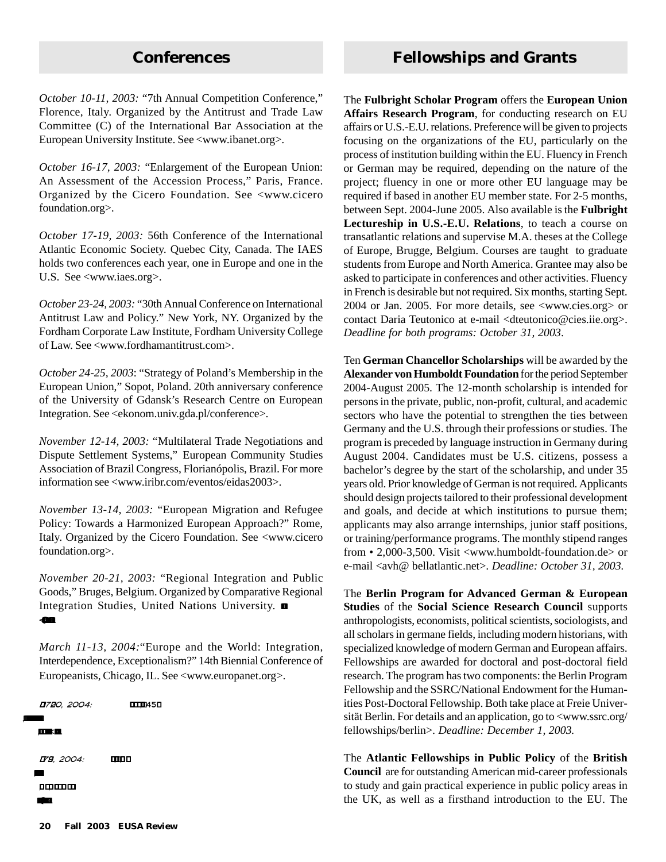*October 10-11, 2003:* "7th Annual Competition Conference," Florence, Italy. Organized by the Antitrust and Trade Law Committee (C) of the International Bar Association at the European University Institute. See <www.ibanet.org>.

*October 16-17, 2003:* "Enlargement of the European Union: An Assessment of the Accession Process," Paris, France. Organized by the Cicero Foundation. See <www.cicero foundation.org>.

*October 17-19, 2003:* 56th Conference of the International Atlantic Economic Society. Quebec City, Canada. The IAES holds two conferences each year, one in Europe and one in the U.S. See <www.iaes.org>.

*October 23-24, 2003:* "30th Annual Conference on International Antitrust Law and Policy." New York, NY. Organized by the Fordham Corporate Law Institute, Fordham University College of Law. See <www.fordhamantitrust.com>.

*October 24-25, 2003*: "Strategy of Poland's Membership in the European Union," Sopot, Poland. 20th anniversary conference of the University of Gdansk's Research Centre on European Integration. See <ekonom.univ.gda.pl/conference>.

*November 12-14, 2003:* "Multilateral Trade Negotiations and Dispute Settlement Systems," European Community Studies Association of Brazil Congress, Florianópolis, Brazil. For more information see <www.iribr.com/eventos/eidas2003>.

*November 13-14, 2003:* "European Migration and Refugee Policy: Towards a Harmonized European Approach?" Rome, Italy. Organized by the Cicero Foundation. See <www.cicero foundation.org>.

*November 20-21, 2003:* "Regional Integration and Public Goods," Bruges, Belgium. Organized by Comparative Regional Integration Studies, United Nations University. <@.>.

*March 11-13, 2004:*"Europe and the World: Integration, Interdependence, Exceptionalism?" 14th Biennial Conference of Europeanists, Chicago, IL. See <www.europanet.org>.

 1720, 2004: , 45 ,  $, . \leq$ 79. 2004: , , , .  $\circledast$ 

# **Conferences Fellowships and Grants**

The **Fulbright Scholar Program** offers the **European Union Affairs Research Program**, for conducting research on EU affairs or U.S.-E.U. relations. Preference will be given to projects focusing on the organizations of the EU, particularly on the process of institution building within the EU. Fluency in French or German may be required, depending on the nature of the project; fluency in one or more other EU language may be required if based in another EU member state. For 2-5 months, between Sept. 2004-June 2005. Also available is the **Fulbright Lectureship in U.S.-E.U. Relations**, to teach a course on transatlantic relations and supervise M.A. theses at the College of Europe, Brugge, Belgium. Courses are taught to graduate students from Europe and North America. Grantee may also be asked to participate in conferences and other activities. Fluency in French is desirable but not required. Six months, starting Sept. 2004 or Jan. 2005. For more details, see <www.cies.org> or contact Daria Teutonico at e-mail <dteutonico@cies.iie.org>. *Deadline for both programs: October 31, 2003*.

Ten **German Chancellor Scholarships** will be awarded by the **Alexander von Humboldt Foundation** for the period September 2004-August 2005. The 12-month scholarship is intended for persons in the private, public, non-profit, cultural, and academic sectors who have the potential to strengthen the ties between Germany and the U.S. through their professions or studies. The program is preceded by language instruction in Germany during August 2004. Candidates must be U.S. citizens, possess a bachelor's degree by the start of the scholarship, and under 35 years old. Prior knowledge of German is not required. Applicants should design projects tailored to their professional development and goals, and decide at which institutions to pursue them; applicants may also arrange internships, junior staff positions, or training/performance programs. The monthly stipend ranges from • 2,000-3,500. Visit <www.humboldt-foundation.de> or e-mail <avh@ bellatlantic.net>. *Deadline: October 31, 2003.*

The **Berlin Program for Advanced German & European Studies** of the **Social Science Research Council** supports anthropologists, economists, political scientists, sociologists, and all scholars in germane fields, including modern historians, with specialized knowledge of modern German and European affairs. Fellowships are awarded for doctoral and post-doctoral field research. The program has two components: the Berlin Program Fellowship and the SSRC/National Endowment for the Humanities Post-Doctoral Fellowship. Both take place at Freie Universität Berlin. For details and an application, go to <www.ssrc.org/ fellowships/berlin>. *Deadline: December 1, 2003.*

The **Atlantic Fellowships in Public Policy** of the **British Council** are for outstanding American mid-career professionals to study and gain practical experience in public policy areas in the UK, as well as a firsthand introduction to the EU. The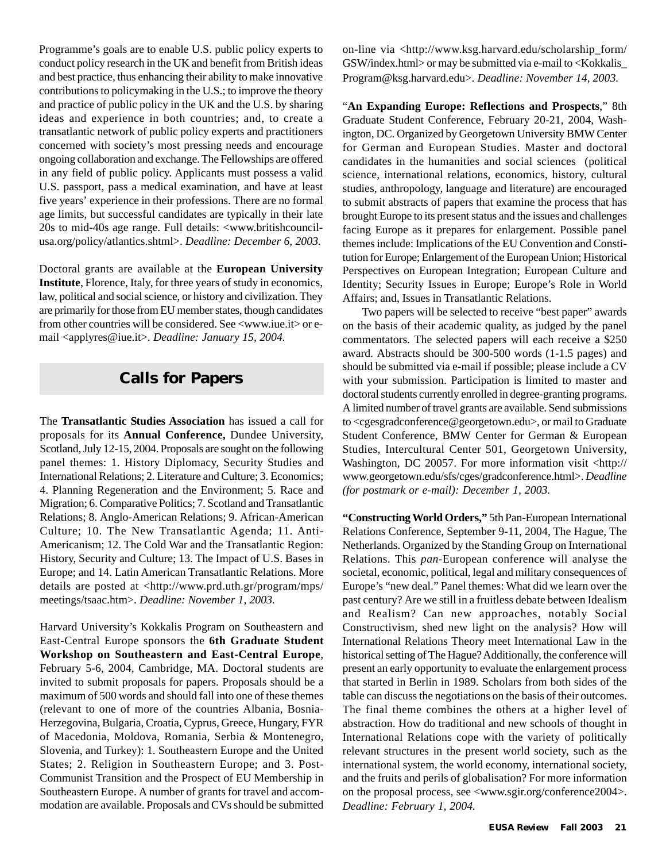ideas and experience in both countries; and, to create a Programme's goals are to enable U.S. public policy experts to conduct policy research in the UK and benefit from British ideas and best practice, thus enhancing their ability to make innovative contributions to policymaking in the U.S.; to improve the theory and practice of public policy in the UK and the U.S. by sharing transatlantic network of public policy experts and practitioners concerned with society's most pressing needs and encourage ongoing collaboration and exchange. The Fellowships are offered in any field of public policy. Applicants must possess a valid U.S. passport, pass a medical examination, and have at least five years' experience in their professions. There are no formal age limits, but successful candidates are typically in their late 20s to mid-40s age range. Full details: <www.britishcouncilusa.org/policy/atlantics.shtml>. *Deadline: December 6, 2003.*

Doctoral grants are available at the **European University Institute**, Florence, Italy, for three years of study in economics, law, political and social science, or history and civilization. They are primarily for those from EU member states, though candidates from other countries will be considered. See <www.iue.it> or email <applyres@iue.it>. *Deadline: January 15, 2004.*

# **Calls for Papers**

The **Transatlantic Studies Association** has issued a call for proposals for its **Annual Conference,** Dundee University, Scotland, July 12-15, 2004. Proposals are sought on the following panel themes: 1. History Diplomacy, Security Studies and International Relations; 2. Literature and Culture; 3. Economics; 4. Planning Regeneration and the Environment; 5. Race and Migration; 6. Comparative Politics; 7. Scotland and Transatlantic Relations; 8. Anglo-American Relations; 9. African-American Culture; 10. The New Transatlantic Agenda; 11. Anti-Americanism; 12. The Cold War and the Transatlantic Region: History, Security and Culture; 13. The Impact of U.S. Bases in Europe; and 14. Latin American Transatlantic Relations. More details are posted at <http://www.prd.uth.gr/program/mps/ meetings/tsaac.htm>. *Deadline: November 1, 2003.*

Harvard University's Kokkalis Program on Southeastern and East-Central Europe sponsors the **6th Graduate Student Workshop on Southeastern and East-Central Europe**, February 5-6, 2004, Cambridge, MA. Doctoral students are invited to submit proposals for papers. Proposals should be a maximum of 500 words and should fall into one of these themes (relevant to one of more of the countries Albania, Bosnia-Herzegovina, Bulgaria, Croatia, Cyprus, Greece, Hungary, FYR of Macedonia, Moldova, Romania, Serbia & Montenegro, Slovenia, and Turkey): 1. Southeastern Europe and the United States; 2. Religion in Southeastern Europe; and 3. Post-Communist Transition and the Prospect of EU Membership in Southeastern Europe. A number of grants for travel and accommodation are available. Proposals and CVs should be submitted on-line via <http://www.ksg.harvard.edu/scholarship\_form/ GSW/index.html> or may be submitted via e-mail to <Kokkalis\_ Program@ksg.harvard.edu>. *Deadline: November 14, 2003.*

"**An Expanding Europe: Reflections and Prospects**," 8th Graduate Student Conference, February 20-21, 2004, Washington, DC. Organized by Georgetown University BMW Center for German and European Studies. Master and doctoral candidates in the humanities and social sciences (political science, international relations, economics, history, cultural studies, anthropology, language and literature) are encouraged to submit abstracts of papers that examine the process that has brought Europe to its present status and the issues and challenges facing Europe as it prepares for enlargement. Possible panel themes include: Implications of the EU Convention and Constitution for Europe; Enlargement of the European Union; Historical Perspectives on European Integration; European Culture and Identity; Security Issues in Europe; Europe's Role in World Affairs; and, Issues in Transatlantic Relations.

Two papers will be selected to receive "best paper" awards on the basis of their academic quality, as judged by the panel commentators. The selected papers will each receive a \$250 award. Abstracts should be 300-500 words (1-1.5 pages) and should be submitted via e-mail if possible; please include a CV with your submission. Participation is limited to master and doctoral students currently enrolled in degree-granting programs. A limited number of travel grants are available. Send submissions to <cgesgradconference@georgetown.edu>, or mail to Graduate Student Conference, BMW Center for German & European Studies, Intercultural Center 501, Georgetown University, Washington, DC 20057. For more information visit <http:// www.georgetown.edu/sfs/cges/gradconference.html>. *Deadline (for postmark or e-mail): December 1, 2003.*

**"Constructing World Orders,"** 5th Pan-European International Relations Conference, September 9-11, 2004, The Hague, The Netherlands. Organized by the Standing Group on International Relations. This *pan*-European conference will analyse the societal, economic, political, legal and military consequences of Europe's "new deal." Panel themes: What did we learn over the past century? Are we still in a fruitless debate between Idealism and Realism? Can new approaches, notably Social Constructivism, shed new light on the analysis? How will International Relations Theory meet International Law in the historical setting of The Hague? Additionally, the conference will present an early opportunity to evaluate the enlargement process that started in Berlin in 1989. Scholars from both sides of the table can discuss the negotiations on the basis of their outcomes. The final theme combines the others at a higher level of abstraction. How do traditional and new schools of thought in International Relations cope with the variety of politically relevant structures in the present world society, such as the international system, the world economy, international society, and the fruits and perils of globalisation? For more information on the proposal process, see <www.sgir.org/conference2004>. *Deadline: February 1, 2004.*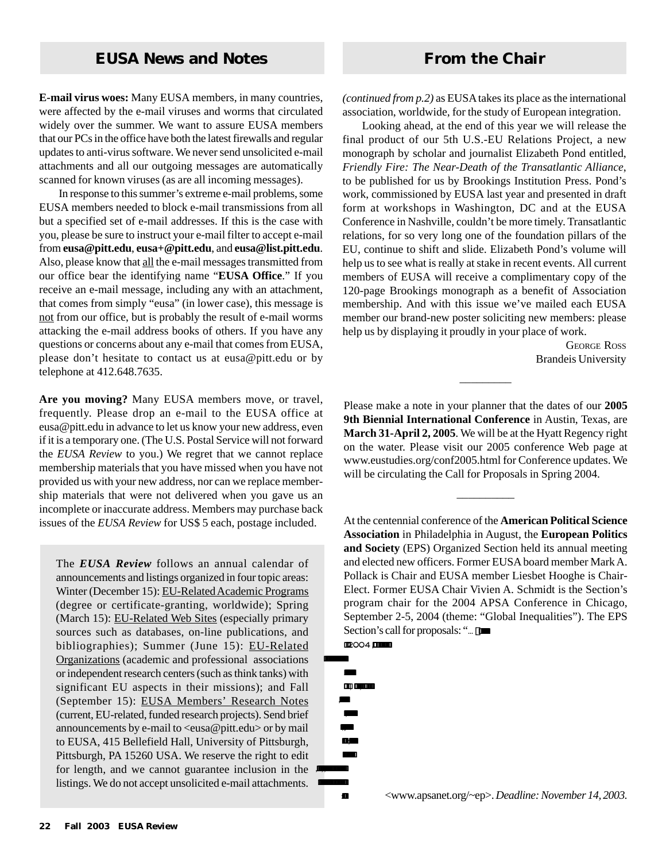**E-mail virus woes:** Many EUSA members, in many countries, were affected by the e-mail viruses and worms that circulated widely over the summer. We want to assure EUSA members that our PCs in the office have both the latest firewalls and regular updates to anti-virus software. We never send unsolicited e-mail attachments and all our outgoing messages are automatically scanned for known viruses (as are all incoming messages).

In response to this summer's extreme e-mail problems, some EUSA members needed to block e-mail transmissions from all but a specified set of e-mail addresses. If this is the case with you, please be sure to instruct your e-mail filter to accept e-mail from **eusa@pitt.edu**, **eusa+@pitt.edu**, and **eusa@list.pitt.edu**. Also, please know that all the e-mail messages transmitted from our office bear the identifying name "**EUSA Office**." If you receive an e-mail message, including any with an attachment, that comes from simply "eusa" (in lower case), this message is not from our office, but is probably the result of e-mail worms attacking the e-mail address books of others. If you have any questions or concerns about any e-mail that comes from EUSA, please don't hesitate to contact us at eusa@pitt.edu or by telephone at 412.648.7635.

**Are you moving?** Many EUSA members move, or travel, frequently. Please drop an e-mail to the EUSA office at eusa@pitt.edu in advance to let us know your new address, even if it is a temporary one. (The U.S. Postal Service will not forward the *EUSA Review* to you.) We regret that we cannot replace membership materials that you have missed when you have not provided us with your new address, nor can we replace membership materials that were not delivered when you gave us an incomplete or inaccurate address. Members may purchase back issues of the *EUSA Review* for US\$ 5 each, postage included.

The *EUSA Review* follows an annual calendar of announcements and listings organized in four topic areas: Winter (December 15): EU-Related Academic Programs (degree or certificate-granting, worldwide); Spring (March 15): EU-Related Web Sites (especially primary sources such as databases, on-line publications, and bibliographies); Summer (June 15): EU-Related Organizations (academic and professional associations or independent research centers (such as think tanks) with significant EU aspects in their missions); and Fall (September 15): EUSA Members' Research Notes (current, EU-related, funded research projects). Send brief announcements by e-mail to  $\langle e$ usa@pitt.edu $>$  or by mail to EUSA, 415 Bellefield Hall, University of Pittsburgh, Pittsburgh, PA 15260 USA. We reserve the right to edit for length, and we cannot guarantee inclusion in the  $\cdot$ . listings. We do not accept unsolicited e-mail attachments.

*(continued from p.2)* as EUSA takesits place as the international association, worldwide, for the study of European integration.

Looking ahead, at the end of this year we will release the final product of our 5th U.S.-EU Relations Project, a new monograph by scholar and journalist Elizabeth Pond entitled, *Friendly Fire: The Near-Death of the Transatlantic Alliance*, to be published for us by Brookings Institution Press. Pond's work, commissioned by EUSA last year and presented in draft form at workshops in Washington, DC and at the EUSA Conference in Nashville, couldn't be more timely. Transatlantic relations, for so very long one of the foundation pillars of the EU, continue to shift and slide. Elizabeth Pond's volume will help us to see what is really at stake in recent events. All current members of EUSA will receive a complimentary copy of the 120-page Brookings monograph as a benefit of Association membership. And with this issue we've mailed each EUSA member our brand-new poster soliciting new members: please help us by displaying it proudly in your place of work.

> GEORGE ROSS Brandeis University

Please make a note in your planner that the dates of our **2005 9th Biennial International Conference** in Austin, Texas, are **March 31-April 2, 2005**. We will be at the Hyatt Regency right on the water. Please visit our 2005 conference Web page at www.eustudies.org/conf2005.html for Conference updates. We will be circulating the Call for Proposals in Spring 2004.

 $\overline{\phantom{a}}$ 

 $\overline{\phantom{a}}$ 

At the centennial conference of the **American Political Science Association** in Philadelphia in August, the **European Politics and Society** (EPS) Organized Section held its annual meeting and elected new officers. Former EUSA board member Mark A. Pollack is Chair and EUSA member Liesbet Hooghe is Chair-Elect. Former EUSA Chair Vivien A. Schmidt is the Section's program chair for the 2004 APSA Conference in Chicago, September 2-5, 2004 (theme: "Global Inequalities"). The EPS Section's call for proposals: "... []

2004 ,

... .., ,  $\mathbf{r}$ ;<br>; ,,,  $\mathbf{r}$ .

.

: <www.apsanet.org/~ep>. *Deadline: November 14, 2003.*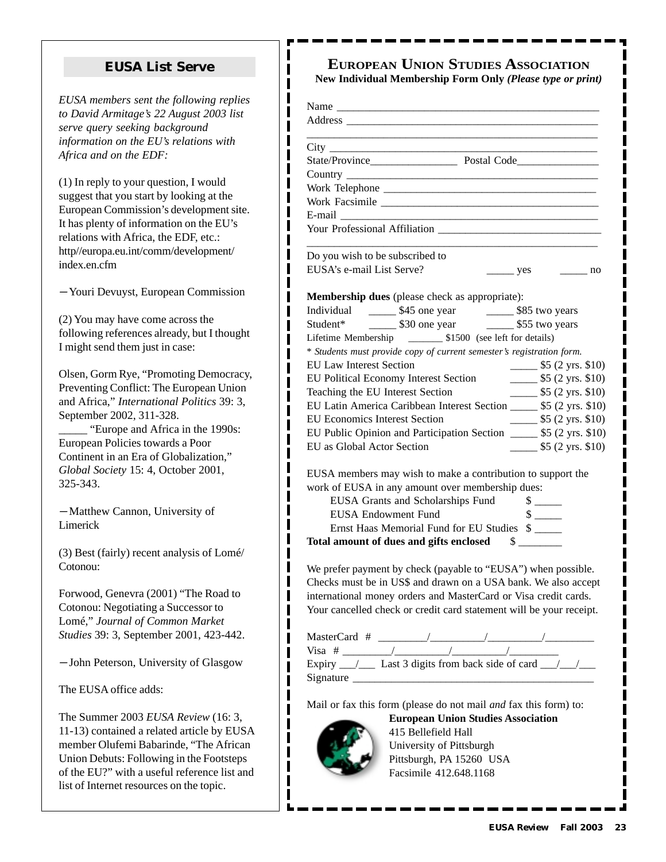#### **EUSA List Serve**

ı I

*EUSA members sent the following replies to David Armitage's 22 August 2003 list serve query seeking background information on the EU's relations with Africa and on the EDF:*

(1) In reply to your question, I would suggest that you start by looking at the European Commission's development site. It has plenty of information on the EU's relations with Africa, the EDF, etc.: http//europa.eu.int/comm/development/ index.en.cfm

- Youri Devuyst, European Commission

(2) You may have come across the following references already, but I thought I might send them just in case:

Olsen, Gorm Rye, "Promoting Democracy, Preventing Conflict: The European Union and Africa," *International Politics* 39: 3, September 2002, 311-328. \_\_\_\_\_ "Europe and Africa in the 1990s: European Policies towards a Poor Continent in an Era of Globalization," *Global Society* 15: 4, October 2001, 325-343.

-Matthew Cannon, University of Limerick

(3) Best (fairly) recent analysis of Lomé/ Cotonou:

Forwood, Genevra (2001) "The Road to Cotonou: Negotiating a Successor to Lomé," *Journal of Common Market Studies* 39: 3, September 2001, 423-442.

- John Peterson, University of Glasgow

The EUSA office adds:

The Summer 2003 *EUSA Review* (16: 3, 11-13) contained a related article by EUSA member Olufemi Babarinde, "The African Union Debuts: Following in the Footsteps of the EU?" with a useful reference list and list of Internet resources on the topic.

# **EUROPEAN UNION STUDIES ASSOCIATION**

**New Individual Membership Form Only** *(Please type or print)*

| E-mail $\qquad$                                                                                                                                                                                                                                                           |  |                             |                                                         |
|---------------------------------------------------------------------------------------------------------------------------------------------------------------------------------------------------------------------------------------------------------------------------|--|-----------------------------|---------------------------------------------------------|
|                                                                                                                                                                                                                                                                           |  |                             |                                                         |
| Do you wish to be subscribed to                                                                                                                                                                                                                                           |  |                             |                                                         |
| EUSA's e-mail List Serve?                                                                                                                                                                                                                                                 |  |                             | $\frac{\ }{\ }$ yes $\frac{\ }{\ }$ no                  |
| <b>Membership dues</b> (please check as appropriate):                                                                                                                                                                                                                     |  |                             |                                                         |
|                                                                                                                                                                                                                                                                           |  |                             |                                                         |
| Student* $\frac{1}{\sqrt{30}}$ \$30 one year \$55 two years                                                                                                                                                                                                               |  |                             |                                                         |
|                                                                                                                                                                                                                                                                           |  |                             |                                                         |
| * Students must provide copy of current semester's registration form.                                                                                                                                                                                                     |  |                             |                                                         |
| <b>EU Law Interest Section</b>                                                                                                                                                                                                                                            |  |                             | $\frac{1}{2}$ \$5 (2 yrs. \$10)                         |
| EU Political Economy Interest Section<br>Teaching the EU Islam                                                                                                                                                                                                            |  |                             | $\frac{\ }{2}$ \$5 (2 yrs. \$10)                        |
| Teaching the EU Interest Section                                                                                                                                                                                                                                          |  |                             | $\frac{\$5 (2 \text{ yrs. } $10)}{2 \text{ yrs. } $10}$ |
| EU Latin America Caribbean Interest Section ______ \$5 (2 yrs. \$10)                                                                                                                                                                                                      |  |                             |                                                         |
| <b>EU Economics Interest Section</b>                                                                                                                                                                                                                                      |  |                             | $\frac{\$5 (2 \text{ yrs. } $10)}{2 \text{ yrs. } $10}$ |
| EU Public Opinion and Participation Section _______ \$5 (2 yrs. \$10)                                                                                                                                                                                                     |  |                             |                                                         |
| EU as Global Actor Section                                                                                                                                                                                                                                                |  |                             | $\frac{\ }{2}$ \$5 (2 yrs. \$10)                        |
| EUSA members may wish to make a contribution to support the                                                                                                                                                                                                               |  |                             |                                                         |
| work of EUSA in any amount over membership dues:                                                                                                                                                                                                                          |  |                             |                                                         |
| EUSA Grants and Scholarships Fund                                                                                                                                                                                                                                         |  | $\frac{\text{S}}{\text{S}}$ |                                                         |
| <b>EUSA Endowment Fund</b>                                                                                                                                                                                                                                                |  |                             |                                                         |
| Ernst Haas Memorial Fund for EU Studies \$                                                                                                                                                                                                                                |  |                             |                                                         |
| Total amount of dues and gifts enclosed \$                                                                                                                                                                                                                                |  |                             |                                                         |
| We prefer payment by check (payable to "EUSA") when possible.<br>Checks must be in US\$ and drawn on a USA bank. We also accept<br>international money orders and MasterCard or Visa credit cards.<br>Your cancelled check or credit card statement will be your receipt. |  |                             |                                                         |
|                                                                                                                                                                                                                                                                           |  |                             |                                                         |
|                                                                                                                                                                                                                                                                           |  |                             |                                                         |
|                                                                                                                                                                                                                                                                           |  |                             |                                                         |
|                                                                                                                                                                                                                                                                           |  |                             |                                                         |
|                                                                                                                                                                                                                                                                           |  |                             |                                                         |
|                                                                                                                                                                                                                                                                           |  |                             |                                                         |
| Mail or fax this form (please do not mail and fax this form) to:                                                                                                                                                                                                          |  |                             |                                                         |
| <b>European Union Studies Association</b>                                                                                                                                                                                                                                 |  |                             |                                                         |
| 415 Bellefield Hall                                                                                                                                                                                                                                                       |  |                             |                                                         |
| University of Pittsburgh                                                                                                                                                                                                                                                  |  |                             |                                                         |
| Pittsburgh, PA 15260 USA<br>Facsimile 412.648.1168                                                                                                                                                                                                                        |  |                             |                                                         |